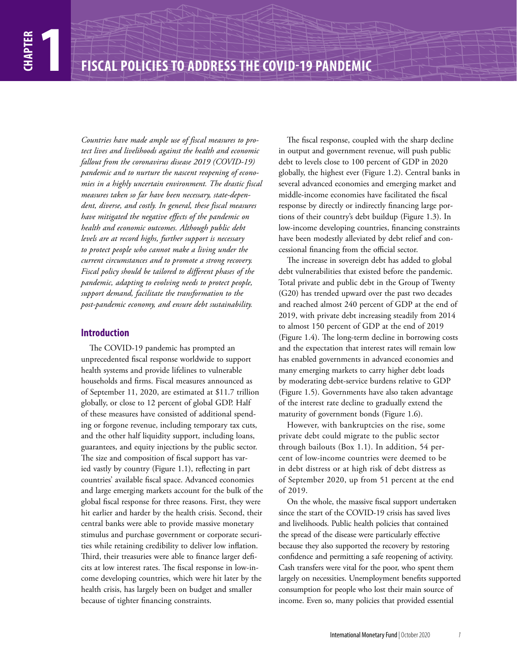*Countries have made ample use of fiscal measures to protect lives and livelihoods against the health and economic fallout from the coronavirus disease 2019 (COVID-19) pandemic and to nurture the nascent reopening of economies in a highly uncertain environment. The drastic fiscal measures taken so far have been necessary, state-dependent, diverse, and costly. In general, these fiscal measures have mitigated the negative effects of the pandemic on health and economic outcomes. Although public debt levels are at record highs, further support is necessary to protect people who cannot make a living under the current circumstances and to promote a strong recovery. Fiscal policy should be tailored to different phases of the pandemic, adapting to evolving needs to protect people, support demand, facilitate the transformation to the post-pandemic economy, and ensure debt sustainability.*

# **Introduction**

The COVID-19 pandemic has prompted an unprecedented fiscal response worldwide to support health systems and provide lifelines to vulnerable households and firms. Fiscal measures announced as of September 11, 2020, are estimated at \$11.7 trillion globally, or close to 12 percent of global GDP. Half of these measures have consisted of additional spending or forgone revenue, including temporary tax cuts, and the other half liquidity support, including loans, guarantees, and equity injections by the public sector. The size and composition of fiscal support has varied vastly by country (Figure 1.1), reflecting in part countries' available fiscal space. Advanced economies and large emerging markets account for the bulk of the global fiscal response for three reasons. First, they were hit earlier and harder by the health crisis. Second, their central banks were able to provide massive monetary stimulus and purchase government or corporate securities while retaining credibility to deliver low inflation. Third, their treasuries were able to finance larger deficits at low interest rates. The fiscal response in low-income developing countries, which were hit later by the health crisis, has largely been on budget and smaller because of tighter financing constraints.

The fiscal response, coupled with the sharp decline in output and government revenue, will push public debt to levels close to 100 percent of GDP in 2020 globally, the highest ever (Figure 1.2). Central banks in several advanced economies and emerging market and middle-income economies have facilitated the fiscal response by directly or indirectly financing large portions of their country's debt buildup (Figure 1.3). In low-income developing countries, financing constraints have been modestly alleviated by debt relief and concessional financing from the official sector.

The increase in sovereign debt has added to global debt vulnerabilities that existed before the pandemic. Total private and public debt in the Group of Twenty (G20) has trended upward over the past two decades and reached almost 240 percent of GDP at the end of 2019, with private debt increasing steadily from 2014 to almost 150 percent of GDP at the end of 2019 (Figure 1.4). The long-term decline in borrowing costs and the expectation that interest rates will remain low has enabled governments in advanced economies and many emerging markets to carry higher debt loads by moderating debt-service burdens relative to GDP (Figure 1.5). Governments have also taken advantage of the interest rate decline to gradually extend the maturity of government bonds (Figure 1.6).

However, with bankruptcies on the rise, some private debt could migrate to the public sector through bailouts (Box 1.1). In addition, 54 percent of low-income countries were deemed to be in debt distress or at high risk of debt distress as of September 2020, up from 51 percent at the end of 2019.

On the whole, the massive fiscal support undertaken since the start of the COVID-19 crisis has saved lives and livelihoods. Public health policies that contained the spread of the disease were particularly effective because they also supported the recovery by restoring confidence and permitting a safe reopening of activity. Cash transfers were vital for the poor, who spent them largely on necessities. Unemployment benefits supported consumption for people who lost their main source of income. Even so, many policies that provided essential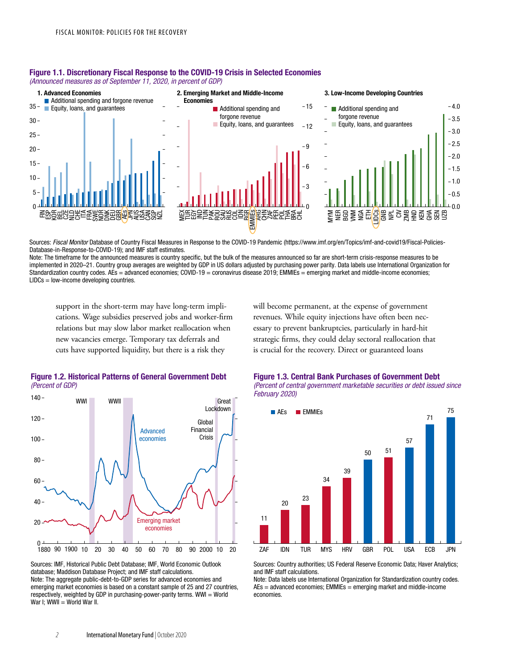

#### Figure 1.1. Discretionary Fiscal Response to the COVID-19 Crisis in Selected Economies *(Announced measures as of September 11, 2020, in percent of GDP)*

Sources: *Fiscal Monitor* Database of Country Fiscal Measures in Response to the COVID-19 Pandemic (https://www.imf.org/en/Topics/imf-and-covid19/Fiscal-Policies-Database-in-Response-to-COVID-19); and IMF staff estimates.

Note: The timeframe for the announced measures is country specific, but the bulk of the measures announced so far are short-term crisis-response measures to be implemented in 2020–21. Country group averages are weighted by GDP in US dollars adjusted by purchasing power parity. Data labels use International Organization for Standardization country codes. AEs = advanced economies; COVID-19 = coronavirus disease 2019; EMMIEs = emerging market and middle-income economies; LIDCs = low-income developing countries.

support in the short-term may have long-term implications. Wage subsidies preserved jobs and worker-firm relations but may slow labor market reallocation when new vacancies emerge. Temporary tax deferrals and cuts have supported liquidity, but there is a risk they

will become permanent, at the expense of government revenues. While equity injections have often been necessary to prevent bankruptcies, particularly in hard-hit strategic firms, they could delay sectoral reallocation that is crucial for the recovery. Direct or guaranteed loans



## Figure 1.2. Historical Patterns of General Government Debt (Percent of GDP)

Sources: IMF, Historical Public Debt Database; IMF, World Economic Outlook database; Maddison Database Project; and IMF staff calculations. Note: The aggregate public-debt-to-GDP series for advanced economies and emerging market economies is based on a constant sample of 25 and 27 countries, respectively, weighted by GDP in purchasing-power-parity terms. WWI = World War I; WWII = World War II.

Figure 1.3. Central Bank Purchases of Government Debt *(Percent of central government marketable securities or debt issued since February 2020)*



Sources: Country authorities; US Federal Reserve Economic Data; Haver Analytics; and IMF staff calculations.

Note: Data labels use International Organization for Standardization country codes.  $AEs = advanced economics$ ; EMMIEs = emerging market and middle-income economies.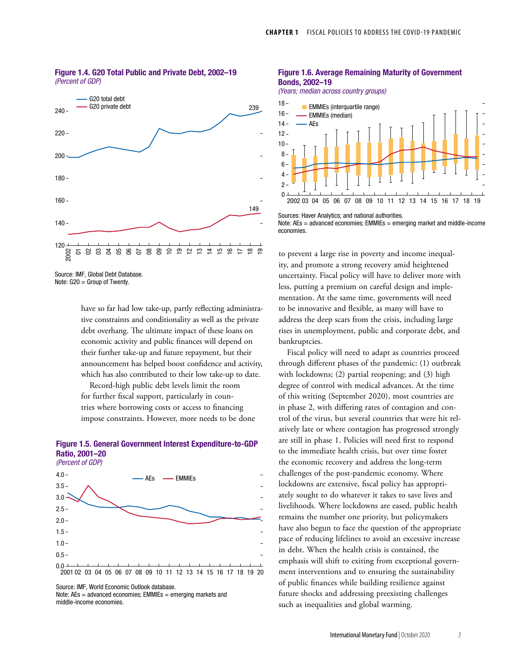

#### Figure 1.4. G20 Total Public and Private Debt, 2002–19 *(Percent of GDP)*

Source: IMF, Global Debt Database. Note: G20 = Group of Twenty.

have so far had low take-up, partly reflecting administrative constraints and conditionality as well as the private debt overhang. The ultimate impact of these loans on economic activity and public finances will depend on their further take-up and future repayment, but their announcement has helped boost confidence and activity, which has also contributed to their low take-up to date.

Record-high public debt levels limit the room for further fiscal support, particularly in countries where borrowing costs or access to financing impose constraints. However, more needs to be done

## Figure 1.5. General Government Interest Expenditure-to-GDP Ratio, 2001–20



Source: IMF, World Economic Outlook database.

Note: AEs = advanced economies; EMMIEs = emerging markets and middle-income economies.

#### Figure 1.6. Average Remaining Maturity of Government Bonds, 2002–19

(Years; median across country groups)



Sources: Haver Analytics; and national authorities. Note: AEs = advanced economies; EMMIEs = emerging market and middle-income economies.

to prevent a large rise in poverty and income inequality, and promote a strong recovery amid heightened uncertainty. Fiscal policy will have to deliver more with less, putting a premium on careful design and implementation. At the same time, governments will need to be innovative and flexible, as many will have to address the deep scars from the crisis, including large rises in unemployment, public and corporate debt, and bankruptcies.

Fiscal policy will need to adapt as countries proceed through different phases of the pandemic: (1) outbreak with lockdowns; (2) partial reopening; and (3) high degree of control with medical advances. At the time of this writing (September 2020), most countries are in phase 2, with differing rates of contagion and control of the virus, but several countries that were hit relatively late or where contagion has progressed strongly are still in phase 1. Policies will need first to respond to the immediate health crisis, but over time foster the economic recovery and address the long-term challenges of the post-pandemic economy. Where lockdowns are extensive, fiscal policy has appropriately sought to do whatever it takes to save lives and livelihoods. Where lockdowns are eased, public health remains the number one priority, but policymakers have also begun to face the question of the appropriate pace of reducing lifelines to avoid an excessive increase in debt. When the health crisis is contained, the emphasis will shift to exiting from exceptional government interventions and to ensuring the sustainability of public finances while building resilience against future shocks and addressing preexisting challenges such as inequalities and global warming.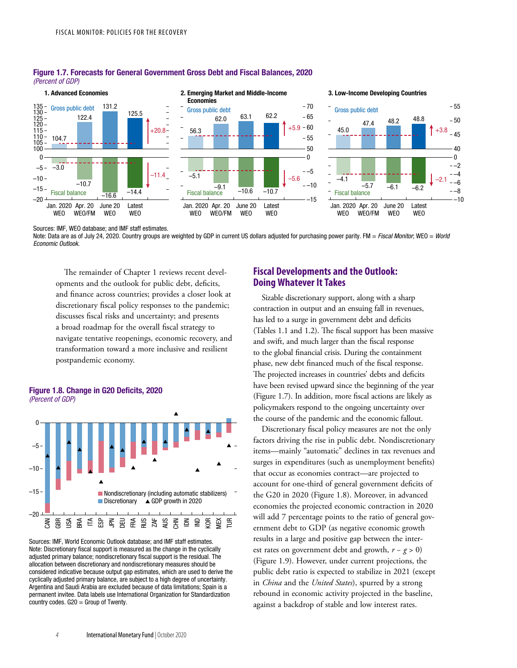

#### Figure 1.7. Forecasts for General Government Gross Debt and Fiscal Balances, 2020 (Percent of GDP)

Sources: IMF, WEO database; and IMF staff estimates. Note: Data are as of July 24, 2020. Country groups are weighted by GDP in current US dollars adjusted for purchasing power parity. FM = Fiscal Monitor; WEO = World Economic Outlook.

The remainder of Chapter 1 reviews recent developments and the outlook for public debt, deficits, and finance across countries; provides a closer look at discretionary fiscal policy responses to the pandemic; discusses fiscal risks and uncertainty; and presents a broad roadmap for the overall fiscal strategy to navigate tentative reopenings, economic recovery, and transformation toward a more inclusive and resilient postpandemic economy.





Sources: IMF, World Economic Outlook database; and IMF staff estimates. Note: Discretionary fiscal support is measured as the change in the cyclically adjusted primary balance; nondiscretionary fiscal support is the residual. The allocation between discretionary and nondiscretionary measures should be considered indicative because output gap estimates, which are used to derive the cyclically adjusted primary balance, are subject to a high degree of uncertainty. Argentina and Saudi Arabia are excluded because of data limitations; Spain is a permanent invitee. Data labels use International Organization for Standardization country codes. G20 = Group of Twenty.

# **Fiscal Developments and the Outlook: Doing Whatever It Takes**

Sizable discretionary support, along with a sharp contraction in output and an ensuing fall in revenues, has led to a surge in government debt and deficits (Tables 1.1 and 1.2). The fiscal support has been massive and swift, and much larger than the fiscal response to the global financial crisis. During the containment phase, new debt financed much of the fiscal response. The projected increases in countries' debts and deficits have been revised upward since the beginning of the year (Figure 1.7). In addition, more fiscal actions are likely as policymakers respond to the ongoing uncertainty over the course of the pandemic and the economic fallout.

Discretionary fiscal policy measures are not the only factors driving the rise in public debt. Nondiscretionary items—mainly "automatic" declines in tax revenues and surges in expenditures (such as unemployment benefits) that occur as economies contract—are projected to account for one-third of general government deficits of the G20 in 2020 (Figure 1.8). Moreover, in advanced economies the projected economic contraction in 2020 will add 7 percentage points to the ratio of general government debt to GDP (as negative economic growth results in a large and positive gap between the interest rates on government debt and growth, *r* − *g* > 0) (Figure 1.9). However, under current projections, the public debt ratio is expected to stabilize in 2021 (except in *China* and the *United States*), spurred by a strong rebound in economic activity projected in the baseline, against a backdrop of stable and low interest rates.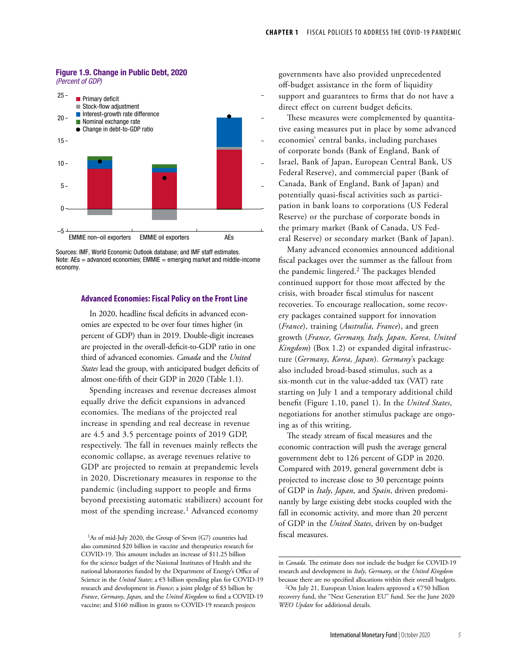#### Figure 1.9. Change in Public Debt, 2020 (Percent of GDP)



Sources: IMF, World Economic Outlook database; and IMF staff estimates. Note: AEs = advanced economies; EMMIE = emerging market and middle-income economy.

### **Advanced Economies: Fiscal Policy on the Front Line**

In 2020, headline fiscal deficits in advanced economies are expected to be over four times higher (in percent of GDP) than in 2019. Double-digit increases are projected in the overall-deficit-to-GDP ratio in one third of advanced economies. *Canada* and the *United States* lead the group, with anticipated budget deficits of almost one-fifth of their GDP in 2020 (Table 1.1).

Spending increases and revenue decreases almost equally drive the deficit expansions in advanced economies. The medians of the projected real increase in spending and real decrease in revenue are 4.5 and 3.5 percentage points of 2019 GDP, respectively. The fall in revenues mainly reflects the economic collapse, as average revenues relative to GDP are projected to remain at prepandemic levels in 2020. Discretionary measures in response to the pandemic (including support to people and firms beyond preexisting automatic stabilizers) account for most of the spending increase.<sup>1</sup> Advanced economy

<sup>1</sup>As of mid-July 2020, the Group of Seven (G7) countries had also committed \$20 billion in vaccine and therapeutics research for COVID-19. This amount includes an increase of \$11.25 billion for the science budget of the National Institutes of Health and the national laboratories funded by the Department of Energy's Office of Science in the *United States*; a €5 billion spending plan for COVID-19 research and development in *France*; a joint pledge of \$3 billion by *France*, *Germany*, *Japan*, and the *United Kingdom* to find a COVID-19 vaccine; and \$160 million in grants to COVID-19 research projects

governments have also provided unprecedented off-budget assistance in the form of liquidity support and guarantees to firms that do not have a direct effect on current budget deficits.

These measures were complemented by quantitative easing measures put in place by some advanced economies' central banks, including purchases of corporate bonds (Bank of England, Bank of Israel, Bank of Japan, European Central Bank, US Federal Reserve), and commercial paper (Bank of Canada, Bank of England, Bank of Japan) and potentially quasi-fiscal activities such as participation in bank loans to corporations (US Federal Reserve) or the purchase of corporate bonds in the primary market (Bank of Canada, US Federal Reserve) or secondary market (Bank of Japan).

Many advanced economies announced additional fiscal packages over the summer as the fallout from the pandemic lingered.2 The packages blended continued support for those most affected by the crisis, with broader fiscal stimulus for nascent recoveries. To encourage reallocation, some recovery packages contained support for innovation (*France*), training (*Australia, France*), and green growth (*France, Germany, Italy, Japan, Korea, United Kingdom*) (Box 1.2) or expanded digital infrastructure (*Germany*, *Korea, Japan*). *Germany*'s package also included broad-based stimulus, such as a six-month cut in the value-added tax (VAT) rate starting on July 1 and a temporary additional child benefit (Figure 1.10, panel 1). In the *United States*, negotiations for another stimulus package are ongoing as of this writing.

The steady stream of fiscal measures and the economic contraction will push the average general government debt to 126 percent of GDP in 2020. Compared with 2019, general government debt is projected to increase close to 30 percentage points of GDP in *Italy*, *Japan*, and *Spain*, driven predominantly by large existing debt stocks coupled with the fall in economic activity, and more than 20 percent of GDP in the *United States*, driven by on-budget fiscal measures.

in *Canada*. The estimate does not include the budget for COVID-19 research and development in *Italy*, *Germany*, or the *United Kingdom* because there are no specified allocations within their overall budgets.

<sup>&</sup>lt;sup>2</sup>On July 21, European Union leaders approved a  $\epsilon$ 750 billion recovery fund, the "Next Generation EU" fund. See the June 2020 *WEO Update* for additional details.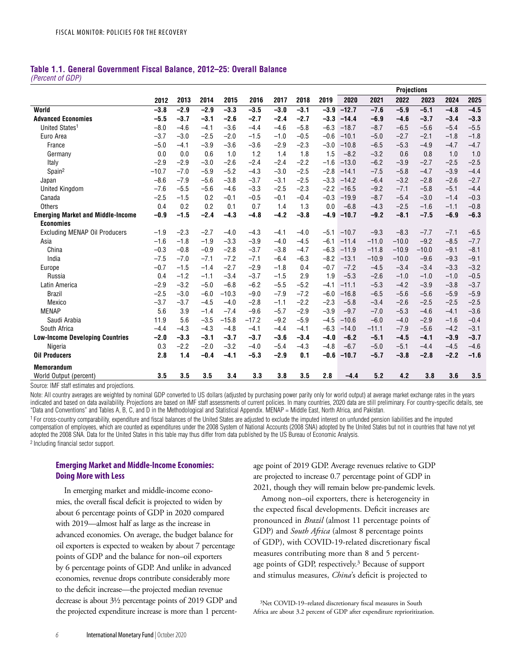# **Table 1.1. General Government Fiscal Balance, 2012–25: Overall Balance**

*(Percent of GDP)*

|                                            |         |        |        |         |         |        |        |        |         |         | <b>Projections</b> |         |        |        |
|--------------------------------------------|---------|--------|--------|---------|---------|--------|--------|--------|---------|---------|--------------------|---------|--------|--------|
|                                            | 2012    | 2013   | 2014   | 2015    | 2016    | 2017   | 2018   | 2019   | 2020    | 2021    | 2022               | 2023    | 2024   | 2025   |
| World                                      | $-3.8$  | $-2.9$ | $-2.9$ | $-3.3$  | $-3.5$  | $-3.0$ | $-3.1$ | $-3.9$ | $-12.7$ | $-7.6$  | $-5.9$             | $-5.1$  | $-4.8$ | $-4.5$ |
| <b>Advanced Economies</b>                  | $-5.5$  | $-3.7$ | $-3.1$ | $-2.6$  | $-2.7$  | $-2.4$ | $-2.7$ | $-3.3$ | $-14.4$ | $-6.9$  | $-4.6$             | $-3.7$  | $-3.4$ | $-3.3$ |
| United States <sup>1</sup>                 | $-8.0$  | $-4.6$ | $-4.1$ | $-3.6$  | $-4.4$  | $-4.6$ | $-5.8$ | $-6.3$ | $-18.7$ | $-8.7$  | $-6.5$             | $-5.6$  | $-5.4$ | $-5.5$ |
| Euro Area                                  | $-3.7$  | $-3.0$ | $-2.5$ | $-2.0$  | $-1.5$  | $-1.0$ | $-0.5$ | $-0.6$ | $-10.1$ | $-5.0$  | $-2.7$             | $-2.1$  | $-1.8$ | $-1.8$ |
| France                                     | $-5.0$  | $-4.1$ | $-3.9$ | $-3.6$  | $-3.6$  | $-2.9$ | $-2.3$ | $-3.0$ | $-10.8$ | $-6.5$  | $-5.3$             | $-4.9$  | $-4.7$ | $-4.7$ |
| Germany                                    | 0.0     | 0.0    | 0.6    | 1.0     | 1.2     | 1.4    | 1.8    | 1.5    | $-8.2$  | $-3.2$  | 0.6                | 0.8     | 1.0    | 1.0    |
| Italy                                      | $-2.9$  | $-2.9$ | $-3.0$ | $-2.6$  | $-2.4$  | $-2.4$ | $-2.2$ | $-1.6$ | $-13.0$ | $-6.2$  | $-3.9$             | $-2.7$  | $-2.5$ | $-2.5$ |
| Spain <sup>2</sup>                         | $-10.7$ | $-7.0$ | $-5.9$ | $-5.2$  | $-4.3$  | $-3.0$ | $-2.5$ | $-2.8$ | $-14.1$ | $-7.5$  | $-5.8$             | $-4.7$  | $-3.9$ | $-4.4$ |
| Japan                                      | $-8.6$  | $-7.9$ | $-5.6$ | $-3.8$  | $-3.7$  | $-3.1$ | $-2.5$ | $-3.3$ | $-14.2$ | $-6.4$  | $-3.2$             | $-2.8$  | $-2.6$ | $-2.7$ |
| <b>United Kingdom</b>                      | $-7.6$  | $-5.5$ | $-5.6$ | $-4.6$  | $-3.3$  | $-2.5$ | $-2.3$ | $-2.2$ | $-16.5$ | $-9.2$  | $-7.1$             | $-5.8$  | $-5.1$ | $-4.4$ |
| Canada                                     | $-2.5$  | $-1.5$ | 0.2    | $-0.1$  | $-0.5$  | $-0.1$ | $-0.4$ | $-0.3$ | $-19.9$ | $-8.7$  | $-5.4$             | $-3.0$  | $-1.4$ | $-0.3$ |
| Others                                     | 0.4     | 0.2    | 0.2    | 0.1     | 0.7     | 1.4    | 1.3    | 0.0    | $-6.8$  | $-4.3$  | $-2.5$             | $-1.6$  | $-1.1$ | $-0.8$ |
| <b>Emerging Market and Middle-Income</b>   | $-0.9$  | $-1.5$ | $-2.4$ | $-4.3$  | $-4.8$  | $-4.2$ | $-3.8$ | $-4.9$ | $-10.7$ | $-9.2$  | $-8.1$             | $-7.5$  | $-6.9$ | $-6.3$ |
| <b>Economies</b>                           |         |        |        |         |         |        |        |        |         |         |                    |         |        |        |
| <b>Excluding MENAP Oil Producers</b>       | $-1.9$  | $-2.3$ | $-2.7$ | $-4.0$  | $-4.3$  | $-4.1$ | $-4.0$ | $-5.1$ | $-10.7$ | $-9.3$  | $-8.3$             | $-7.7$  | $-7.1$ | $-6.5$ |
| Asia                                       | $-1.6$  | $-1.8$ | $-1.9$ | $-3.3$  | $-3.9$  | $-4.0$ | $-4.5$ | $-6.1$ | $-11.4$ | $-11.0$ | $-10.0$            | $-9.2$  | $-8.5$ | $-7.7$ |
| China                                      | $-0.3$  | $-0.8$ | $-0.9$ | $-2.8$  | $-3.7$  | $-3.8$ | $-4.7$ | $-6.3$ | $-11.9$ | $-11.8$ | $-10.9$            | $-10.0$ | $-9.1$ | $-8.1$ |
| India                                      | $-7.5$  | $-7.0$ | $-7.1$ | $-7.2$  | $-7.1$  | $-6.4$ | $-6.3$ | $-8.2$ | $-13.1$ | $-10.9$ | $-10.0$            | $-9.6$  | $-9.3$ | $-9.1$ |
| Europe                                     | $-0.7$  | $-1.5$ | $-1.4$ | $-2.7$  | $-2.9$  | $-1.8$ | 0.4    | $-0.7$ | $-7.2$  | $-4.5$  | $-3.4$             | $-3.4$  | $-3.3$ | $-3.2$ |
| Russia                                     | 0.4     | $-1.2$ | $-1.1$ | $-3.4$  | $-3.7$  | $-1.5$ | 2.9    | 1.9    | $-5.3$  | $-2.6$  | $-1.0$             | $-1.0$  | $-1.0$ | $-0.5$ |
| Latin America                              | $-2.9$  | $-3.2$ | $-5.0$ | $-6.8$  | $-6.2$  | $-5.5$ | $-5.2$ | $-4.1$ | $-11.1$ | $-5.3$  | $-4.2$             | $-3.9$  | $-3.8$ | $-3.7$ |
| <b>Brazil</b>                              | $-2.5$  | $-3.0$ | $-6.0$ | $-10.3$ | $-9.0$  | $-7.9$ | $-7.2$ | $-6.0$ | $-16.8$ | $-6.5$  | $-5.6$             | $-5.6$  | $-5.9$ | $-5.9$ |
| Mexico                                     | $-3.7$  | $-3.7$ | $-4.5$ | $-4.0$  | $-2.8$  | $-1.1$ | $-2.2$ | $-2.3$ | $-5.8$  | $-3.4$  | $-2.6$             | $-2.5$  | $-2.5$ | $-2.5$ |
| <b>MENAP</b>                               | 5.6     | 3.9    | $-1.4$ | $-7.4$  | $-9.6$  | $-5.7$ | $-2.9$ | $-3.9$ | $-9.7$  | $-7.0$  | $-5.3$             | $-4.6$  | $-4.1$ | $-3.6$ |
| Saudi Arabia                               | 11.9    | 5.6    | $-3.5$ | $-15.8$ | $-17.2$ | $-9.2$ | $-5.9$ | $-4.5$ | $-10.6$ | $-6.0$  | $-4.0$             | $-2.9$  | $-1.6$ | $-0.4$ |
| South Africa                               | $-4.4$  | $-4.3$ | $-4.3$ | $-4.8$  | $-4.1$  | $-4.4$ | $-4.1$ | $-6.3$ | $-14.0$ | $-11.1$ | $-7.9$             | $-5.6$  | $-4.2$ | $-3.1$ |
| <b>Low-Income Developing Countries</b>     | $-2.0$  | $-3.3$ | $-3.1$ | $-3.7$  | $-3.7$  | $-3.6$ | $-3.4$ | $-4.0$ | $-6.2$  | $-5.1$  | $-4.5$             | $-4.1$  | $-3.9$ | $-3.7$ |
| Nigeria                                    | 0.3     | $-2.2$ | $-2.0$ | $-3.2$  | $-4.0$  | $-5.4$ | $-4.3$ | $-4.8$ | $-6.7$  | $-5.0$  | $-5.1$             | $-4.4$  | $-4.5$ | $-4.6$ |
| <b>Oil Producers</b>                       | 2.8     | 1.4    | $-0.4$ | $-4.1$  | $-5.3$  | $-2.9$ | 0.1    | $-0.6$ | $-10.7$ | $-5.7$  | $-3.8$             | $-2.8$  | $-2.2$ | $-1.6$ |
| <b>Memorandum</b>                          |         |        |        |         |         |        |        |        |         |         |                    |         |        |        |
| World Output (percent)                     | 3.5     | 3.5    | 3.5    | 3.4     | 3.3     | 3.8    | 3.5    | 2.8    | $-4.4$  | 5.2     | 4.2                | 3.8     | 3.6    | 3.5    |
| Course IME staff ostimates and projections |         |        |        |         |         |        |        |        |         |         |                    |         |        |        |

Source: IMF staff estimates and projections.

Note: All country averages are weighted by nominal GDP converted to US dollars (adjusted by purchasing power parity only for world output) at average market exchange rates in the years indicated and based on data availability. Projections are based on IMF staff assessments of current policies. In many countries, 2020 data are still preliminary. For country-specific details, see "Data and Conventions" and Tables A, B, C, and D in the Methodological and Statistical Appendix. MENAP = Middle East, North Africa, and Pakistan.

1 For cross-country comparability, expenditure and fiscal balances of the United States are adjusted to exclude the imputed interest on unfunded pension liabilities and the imputed compensation of employees, which are counted as expenditures under the 2008 System of National Accounts (2008 SNA) adopted by the United States but not in countries that have not yet adopted the 2008 SNA. Data for the United States in this table may thus differ from data published by the US Bureau of Economic Analysis. 2 Including financial sector support.

## **Emerging Market and Middle-Income Economies: Doing More with Less**

In emerging market and middle-income economies, the overall fiscal deficit is projected to widen by about 6 percentage points of GDP in 2020 compared with 2019—almost half as large as the increase in advanced economies. On average, the budget balance for oil exporters is expected to weaken by about 7 percentage points of GDP and the balance for non–oil exporters by 6 percentage points of GDP. And unlike in advanced economies, revenue drops contribute considerably more to the deficit increase—the projected median revenue decrease is about 3½ percentage points of 2019 GDP and the projected expenditure increase is more than 1 percentage point of 2019 GDP. Average revenues relative to GDP are projected to increase 0.7 percentage point of GDP in 2021, though they will remain below pre-pandemic levels.

Among non–oil exporters, there is heterogeneity in the expected fiscal developments. Deficit increases are pronounced in *Brazil* (almost 11 percentage points of GDP) and *South Africa* (almost 8 percentage points of GDP), with COVID-19-related discretionary fiscal measures contributing more than 8 and 5 percentage points of GDP, respectively.<sup>3</sup> Because of support and stimulus measures, *China*'s deficit is projected to

3Net COVID-19–related discretionary fiscal measures in South Africa are about 3.2 percent of GDP after expenditure reprioritization.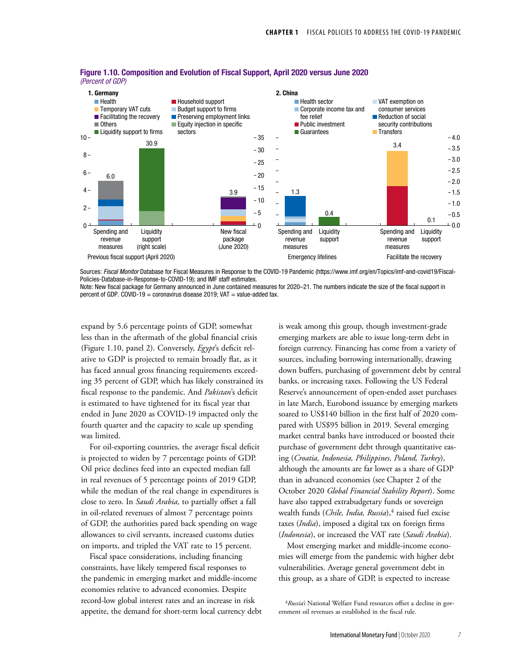

#### Figure 1.10. Composition and Evolution of Fiscal Support, April 2020 versus June 2020 *(Percent of GDP)*

Sources: *Fiscal Monitor* Database for Fiscal Measures in Response to the COVID-19 Pandemic (https://www.imf.org/en/Topics/imf-and-covid19/Fiscal-Policies-Database-in-Response-to-COVID-19); and IMF staff estimates.

Note: New fiscal package for Germany announced in June contained measures for 2020–21. The numbers indicate the size of the fiscal support in percent of GDP. COVID-19 = coronavirus disease 2019;  $VAT = value$ -added tax.

expand by 5.6 percentage points of GDP, somewhat less than in the aftermath of the global financial crisis (Figure 1.10, panel 2). Conversely, *Egypt*'s deficit relative to GDP is projected to remain broadly flat, as it has faced annual gross financing requirements exceeding 35 percent of GDP, which has likely constrained its fiscal response to the pandemic. And *Pakistan*'s deficit is estimated to have tightened for its fiscal year that ended in June 2020 as COVID-19 impacted only the fourth quarter and the capacity to scale up spending was limited.

For oil-exporting countries, the average fiscal deficit is projected to widen by 7 percentage points of GDP. Oil price declines feed into an expected median fall in real revenues of 5 percentage points of 2019 GDP, while the median of the real change in expenditures is close to zero. In *Saudi Arabia,* to partially offset a fall in oil-related revenues of almost 7 percentage points of GDP, the authorities pared back spending on wage allowances to civil servants, increased customs duties on imports, and tripled the VAT rate to 15 percent.

Fiscal space considerations, including financing constraints, have likely tempered fiscal responses to the pandemic in emerging market and middle-income economies relative to advanced economies. Despite record-low global interest rates and an increase in risk appetite, the demand for short-term local currency debt is weak among this group, though investment-grade emerging markets are able to issue long-term debt in foreign currency. Financing has come from a variety of sources, including borrowing internationally, drawing down buffers, purchasing of government debt by central banks, or increasing taxes. Following the US Federal Reserve's announcement of open-ended asset purchases in late March, Eurobond issuance by emerging markets soared to US\$140 billion in the first half of 2020 compared with US\$95 billion in 2019. Several emerging market central banks have introduced or boosted their purchase of government debt through quantitative easing (*Croatia, Indonesia, Philippines, Poland, Turkey*), although the amounts are far lower as a share of GDP than in advanced economies (see Chapter 2 of the October 2020 *Global Financial Stability Report*). Some have also tapped extrabudgetary funds or sovereign wealth funds (*Chile, India, Russia*),<sup>4</sup> raised fuel excise taxes (*India*), imposed a digital tax on foreign firms (*Indonesia*), or increased the VAT rate (*Saudi Arabia*).

Most emerging market and middle-income economies will emerge from the pandemic with higher debt vulnerabilities. Average general government debt in this group, as a share of GDP, is expected to increase

<sup>4</sup>*Russia's* National Welfare Fund resources offset a decline in government oil revenues as established in the fiscal rule.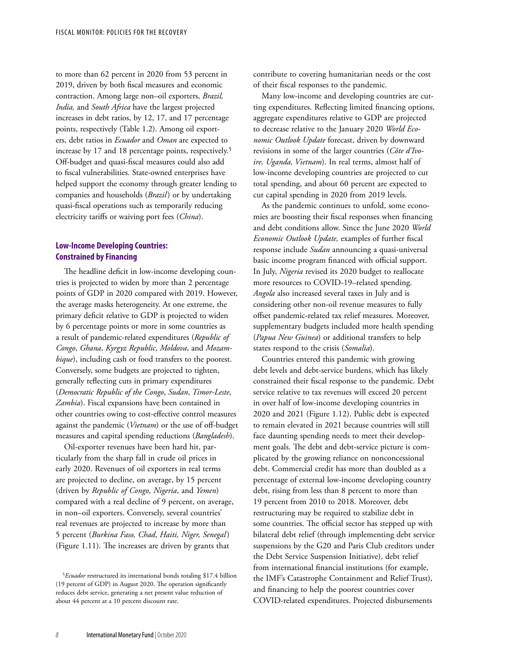to more than 62 percent in 2020 from 53 percent in 2019, driven by both fiscal measures and economic contraction. Among large non–oil exporters, *Brazil, India,* and *South Africa* have the largest projected increases in debt ratios, by 12, 17, and 17 percentage points, respectively (Table 1.2). Among oil exporters, debt ratios in *Ecuador* and *Oman* are expected to increase by 17 and 18 percentage points, respectively.5 Off-budget and quasi-fiscal measures could also add to fiscal vulnerabilities. State-owned enterprises have helped support the economy through greater lending to companies and households (*Brazil*) or by undertaking quasi-fiscal operations such as temporarily reducing electricity tariffs or waiving port fees (*China*).

## **Low-Income Developing Countries: Constrained by Financing**

The headline deficit in low-income developing countries is projected to widen by more than 2 percentage points of GDP in 2020 compared with 2019. However, the average masks heterogeneity. At one extreme, the primary deficit relative to GDP is projected to widen by 6 percentage points or more in some countries as a result of pandemic-related expenditures (*Republic of Congo*, *Ghana*, *Kyrgyz Republic*, *Moldova*, and *Mozambique*), including cash or food transfers to the poorest. Conversely, some budgets are projected to tighten, generally reflecting cuts in primary expenditures (*Democratic Republic of the Congo*, *Sudan*, *Timor-Leste*, *Zambia*). Fiscal expansions have been contained in other countries owing to cost-effective control measures against the pandemic (*Vietnam*) or the use of off-budget measures and capital spending reductions (*Bangladesh*).

Oil-exporter revenues have been hard hit, particularly from the sharp fall in crude oil prices in early 2020. Revenues of oil exporters in real terms are projected to decline, on average, by 15 percent (driven by *Republic of Congo*, *Nigeria*, and *Yemen*) compared with a real decline of 9 percent, on average, in non–oil exporters. Conversely, several countries' real revenues are projected to increase by more than 5 percent (*Burkina Faso, Chad*, *Haiti, Niger, Senegal*) (Figure 1.11). The increases are driven by grants that

contribute to covering humanitarian needs or the cost of their fiscal responses to the pandemic.

Many low-income and developing countries are cutting expenditures. Reflecting limited financing options, aggregate expenditures relative to GDP are projected to decrease relative to the January 2020 *World Economic Outlook Update* forecast, driven by downward revisions in some of the larger countries (*Côte d'Ivoire, Uganda, Vietnam*). In real terms, almost half of low-income developing countries are projected to cut total spending, and about 60 percent are expected to cut capital spending in 2020 from 2019 levels.

As the pandemic continues to unfold, some economies are boosting their fiscal responses when financing and debt conditions allow. Since the June 2020 *World Economic Outlook Update,* examples of further fiscal response include *Sudan* announcing a quasi-universal basic income program financed with official support. In July, *Nigeria* revised its 2020 budget to reallocate more resources to COVID-19–related spending. *Angola* also increased several taxes in July and is considering other non-oil revenue measures to fully offset pandemic-related tax relief measures. Moreover, supplementary budgets included more health spending (*Papua New Guinea*) or additional transfers to help states respond to the crisis (*Somalia*).

Countries entered this pandemic with growing debt levels and debt-service burdens, which has likely constrained their fiscal response to the pandemic. Debt service relative to tax revenues will exceed 20 percent in over half of low-income developing countries in 2020 and 2021 (Figure 1.12). Public debt is expected to remain elevated in 2021 because countries will still face daunting spending needs to meet their development goals. The debt and debt-service picture is complicated by the growing reliance on nonconcessional debt. Commercial credit has more than doubled as a percentage of external low-income developing country debt, rising from less than 8 percent to more than 19 percent from 2010 to 2018. Moreover, debt restructuring may be required to stabilize debt in some countries. The official sector has stepped up with bilateral debt relief (through implementing debt service suspensions by the G20 and Paris Club creditors under the Debt Service Suspension Initiative), debt relief from international financial institutions (for example, the IMF's Catastrophe Containment and Relief Trust), and financing to help the poorest countries cover COVID-related expenditures. Projected disbursements

<sup>5</sup>*Ecuador* restructured its international bonds totaling \$17.4 billion (19 percent of GDP) in August 2020. The operation significantly reduces debt service, generating a net present value reduction of about 44 percent at a 10 percent discount rate.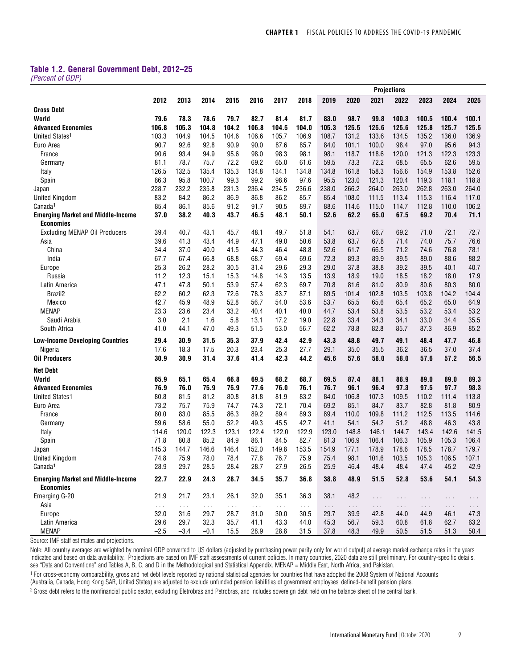## **Table 1.2. General Government Debt, 2012–25**

*(Percent of GDP)*

|                                                              |                |                              |                    |                    |                              |                       |                    |                              |                  |                       | <b>Projections</b> |           |                  |                  |
|--------------------------------------------------------------|----------------|------------------------------|--------------------|--------------------|------------------------------|-----------------------|--------------------|------------------------------|------------------|-----------------------|--------------------|-----------|------------------|------------------|
|                                                              | 2012           | 2013                         | 2014               | 2015               | 2016                         | 2017                  | 2018               | 2019                         | 2020             | 2021                  | 2022               | 2023      | 2024             | 2025             |
| <b>Gross Debt</b>                                            |                |                              |                    |                    |                              |                       |                    |                              |                  |                       |                    |           |                  |                  |
| World                                                        | 79.6           | 78.3                         | 78.6               | 79.7               | 82.7                         | 81.4                  | 81.7               | 83.0                         | 98.7             | 99.8                  | 100.3              | 100.5     | 100.4            | 100.1            |
| <b>Advanced Economies</b>                                    | 106.8          | 105.3                        | 104.8              | 104.2              | 106.8                        | 104.5                 | 104.0              | 105.3                        | 125.5            | 125.6                 | 125.6              | 125.8     | 125.7            | 125.5            |
| United States <sup>1</sup>                                   | 103.3          | 104.9                        | 104.5              | 104.6              | 106.6                        | 105.7                 | 106.9              | 108.7                        | 131.2            | 133.6                 | 134.5              | 135.2     | 136.0            | 136.9            |
| Euro Area                                                    | 90.7           | 92.6                         | 92.8               | 90.9               | 90.0                         | 87.6                  | 85.7               | 84.0                         | 101.1            | 100.0                 | 98.4               | 97.0      | 95.6             | 94.3             |
| France                                                       | 90.6           | 93.4                         | 94.9               | 95.6               | 98.0                         | 98.3                  | 98.1               | 98.1                         | 118.7            | 118.6                 | 120.0              | 121.3     | 122.3            | 123.3            |
| Germany                                                      | 81.1           | 78.7                         | 75.7               | 72.2               | 69.2                         | 65.0                  | 61.6               | 59.5                         | 73.3             | 72.2                  | 68.5               | 65.5      | 62.6             | 59.5             |
| Italy                                                        | 126.5          | 132.5                        | 135.4              | 135.3              | 134.8                        | 134.1                 | 134.8              | 134.8                        | 161.8            | 158.3                 | 156.6              | 154.9     | 153.8            | 152.6            |
| Spain                                                        | 86.3           | 95.8                         | 100.7              | 99.3               | 99.2                         | 98.6                  | 97.6               | 95.5                         | 123.0            | 121.3                 | 120.4              | 119.3     | 118.1            | 118.8            |
| Japan                                                        | 228.7          | 232.2                        | 235.8              | 231.3              | 236.4                        | 234.5                 | 236.6              | 238.0                        | 266.2            | 264.0                 | 263.0              | 262.8     | 263.0            | 264.0            |
| <b>United Kingdom</b>                                        | 83.2           | 84.2                         | 86.2               | 86.9               | 86.8                         | 86.2                  | 85.7               | 85.4                         | 108.0            | 111.5                 | 113.4              | 115.3     | 116.4            | 117.0            |
| Canada <sup>1</sup>                                          | 85.4           | 86.1                         | 85.6               | 91.2               | 91.7                         | 90.5                  | 89.7               | 88.6                         | 114.6            | 115.0                 | 114.7              | 112.8     | 110.0            | 106.2            |
| <b>Emerging Market and Middle-Income</b>                     | 37.0           | 38.2                         | 40.3               | 43.7               | 46.5                         | 48.1                  | 50.1               | 52.6                         | 62.2             | 65.0                  | 67.5               | 69.2      | 70.4             | 71.1             |
| <b>Economies</b>                                             |                |                              |                    |                    |                              |                       |                    |                              |                  |                       |                    |           |                  |                  |
| <b>Excluding MENAP Oil Producers</b>                         | 39.4           | 40.7                         | 43.1               | 45.7               | 48.1                         | 49.7                  | 51.8               | 54.1                         | 63.7             | 66.7                  | 69.2               | 71.0      | 72.1             | 72.7             |
| Asia                                                         | 39.6           | 41.3                         | 43.4               | 44.9               | 47.1                         | 49.0                  | 50.6               | 53.8                         | 63.7             | 67.8                  | 71.4               | 74.0      | 75.7             | 76.6             |
| China                                                        | 34.4           | 37.0                         | 40.0               | 41.5               | 44.3                         | 46.4                  | 48.8               | 52.6                         | 61.7             | 66.5                  | 71.2               | 74.6      | 76.8             | 78.1             |
| India                                                        | 67.7           | 67.4                         | 66.8               | 68.8               | 68.7                         | 69.4                  | 69.6               | 72.3                         | 89.3             | 89.9                  | 89.5               | 89.0      | 88.6             | 88.2             |
| Europe                                                       | 25.3           | 26.2                         | 28.2               | 30.5               | 31.4                         | 29.6                  | 29.3               | 29.0                         | 37.8             | 38.8                  | 39.2               | 39.5      | 40.1             | 40.7             |
| Russia                                                       | 11.2           | 12.3                         | 15.1               | 15.3               | 14.8                         | 14.3                  | 13.5               | 13.9                         | 18.9             | 19.0                  | 18.5               | 18.2      | 18.0             | 17.9             |
| Latin America                                                | 47.1           | 47.8                         | 50.1               | 53.9               | 57.4                         | 62.3                  | 69.7               | 70.8                         | 81.6             | 81.0                  | 80.9               | 80.6      | 80.3             | 80.0             |
| Brazil2                                                      | 62.2           | 60.2                         | 62.3               | 72.6               | 78.3                         | 83.7                  | 87.1               | 89.5                         | 101.4            | 102.8                 | 103.5              | 103.8     | 104.2            | 104.4            |
| Mexico                                                       | 42.7           | 45.9                         | 48.9               | 52.8               | 56.7                         | 54.0                  | 53.6               | 53.7                         | 65.5             | 65.6                  | 65.4               | 65.2      | 65.0             | 64.9             |
| <b>MENAP</b>                                                 | 23.3           | 23.6                         | 23.4               | 33.2               | 40.4                         | 40.1                  | 40.0               | 44.7                         | 53.4             | 53.8                  | 53.5               | 53.2      | 53.4             | 53.2             |
| Saudi Arabia                                                 | 3.0            | 2.1                          | 1.6                | 5.8                | 13.1                         | 17.2                  | 19.0               | 22.8                         | 33.4             | 34.3                  | 34.1               | 33.0      | 34.4             | 35.5             |
| South Africa                                                 | 41.0           | 44.1                         | 47.0               | 49.3               | 51.5                         | 53.0                  | 56.7               | 62.2                         | 78.8             | 82.8                  | 85.7               | 87.3      | 86.9             | 85.2             |
|                                                              |                |                              |                    |                    |                              |                       |                    |                              |                  |                       |                    |           |                  |                  |
| <b>Low-Income Developing Countries</b>                       | 29.4           | 30.9                         | 31.5               | 35.3               | 37.9                         | 42.4                  | 42.9               | 43.3                         | 48.8             | 49.7                  | 49.1               | 48.4      | 47.7             | 46.8             |
| Nigeria                                                      | 17.6           | 18.3                         | 17.5               | 20.3               | 23.4                         | 25.3                  | 27.7               | 29.1                         | 35.0             | 35.5                  | 36.2               | 36.5      | 37.0             | 37.4             |
| <b>Oil Producers</b>                                         | 30.9           | 30.9                         | 31.4               | 37.6               | 41.4                         | 42.3                  | 44.2               | 45.6                         | 57.6             | 58.0                  | 58.0               | 57.6      | 57.2             | 56.5             |
| <b>Net Debt</b>                                              |                |                              |                    |                    |                              |                       |                    |                              |                  |                       |                    |           |                  |                  |
| World                                                        | 65.9           | 65.1                         | 65.4               | 66.8               | 69.5                         | 68.2                  | 68.7               | 69.5                         | 87.4             | 88.1                  | 88.9               | 89.0      | 89.0             | 89.3             |
| <b>Advanced Economies</b>                                    | 76.9           | 76.0                         | 75.9               | 75.9               | 77.6                         | 76.0                  | 76.1               | 76.7                         | 96.1             | 96.4                  | 97.3               | 97.5      | 97.7             | 98.3             |
| <b>United States1</b>                                        | 80.8           | 81.5                         | 81.2               | 80.8               | 81.8                         | 81.9                  | 83.2               | 84.0                         | 106.8            | 107.3                 | 109.5              | 110.2     | 111.4            | 113.8            |
| Euro Area                                                    | 73.2           | 75.7                         | 75.9               | 74.7               | 74.3                         | 72.1                  | 70.4               | 69.2                         | 85.1             | 84.7                  | 83.7               | 82.8      | 81.8             | 80.9             |
| France                                                       | 80.0           | 83.0                         | 85.5               | 86.3               | 89.2                         | 89.4                  | 89.3               | 89.4                         | 110.0            | 109.8                 | 111.2              | 112.5     | 113.5            | 114.6            |
| Germany                                                      | 59.6           | 58.6                         | 55.0               | 52.2               | 49.3                         | 45.5                  | 42.7               | 41.1                         | 54.1             | 54.2                  | 51.2               | 48.8      | 46.3             | 43.8             |
| Italy                                                        | 114.6          | 120.0                        | 122.3              | 123.1              | 122.4                        | 122.0                 | 122.9              | 123.0                        | 148.8            | 146.1                 | 144.7              | 143.4     | 142.6            | 141.5            |
| Spain                                                        | 71.8           | 80.8                         | 85.2               | 84.9               | 86.1                         | 84.5                  | 82.7               | 81.3                         | 106.9            | 106.4                 | 106.3              | 105.9     | 105.3            | 106.4            |
| Japan                                                        | 145.3          | 144.7                        | 146.6              | 146.4              | 152.0                        | 149.8                 | 153.5              | 154.9                        | 177.1            | 178.9                 | 178.6              | 178.5     | 178.7            | 179.7            |
| <b>United Kingdom</b>                                        | 74.8           | 75.9                         | 78.0               | 78.4               | 77.8                         | 76.7                  | 75.9               | 75.4                         | 98.1             | 101.6                 | 103.5              | 105.3     | 106.5            | 107.1            |
| Canada <sup>1</sup>                                          | 28.9           | 29.7                         | 28.5               | 28.4               | 28.7                         | 27.9                  | 26.5               | 25.9                         | 46.4             | 48.4                  | 48.4               | 47.4      | 45.2             | 42.9             |
| <b>Emerging Market and Middle-Income</b><br><b>Economies</b> | 22.7           | 22.9                         | 24.3               | 28.7               | 34.5                         | 35.7                  | 36.8               | 38.8                         | 48.9             | 51.5                  | 52.8               | 53.6      | 54.1             | 54.3             |
| Emerging G-20<br>Asia                                        | 21.9           | 21.7                         | 23.1               | 26.1               | 32.0                         | 35.1                  | 36.3               | 38.1                         | 48.2             | $\sim$ $\sim$         | $\cdots$           | .         | .                | .                |
| Europe                                                       | $\sim$<br>32.0 | $\sim$ $\sim$ $\sim$<br>31.6 | $\sim 100$<br>29.7 | $\sim 100$<br>28.7 | $\sim$ $\sim$ $\sim$<br>31.0 | $\sim$ $\sim$<br>30.0 | $\sim 100$<br>30.5 | $\sim$ $\sim$ $\sim$<br>29.7 | $\cdots$<br>39.9 | $\sim$ $\sim$<br>42.8 | $\cdots$<br>44.0   | .<br>44.9 | $\cdots$<br>46.1 | $\cdots$<br>47.3 |
| Latin America                                                | 29.6           | 29.7                         | 32.3               | 35.7               | 41.1                         | 43.3                  | 44.0               | 45.3                         | 56.7             | 59.3                  | 60.8               | 61.8      | 62.7             | 63.2             |
| <b>MENAP</b>                                                 | $-2.5$         | $-3.4$                       | $-0.1$             | 15.5               | 28.9                         | 28.8                  | 31.5               | 37.8                         | 48.3             | 49.9                  | 50.5               | 51.5      | 51.3             | 50.4             |

Source: IMF staff estimates and projections.

Note: All country averages are weighted by nominal GDP converted to US dollars (adjusted by purchasing power parity only for world output) at average market exchange rates in the years indicated and based on data availability. Projections are based on IMF staff assessments of current policies. In many countries, 2020 data are still preliminary. For country-specific details, see "Data and Conventions" and Tables A, B, C, and D in the Methodological and Statistical Appendix. MENAP = Middle East, North Africa, and Pakistan.

1 For cross-economy comparability, gross and net debt levels reported by national statistical agencies for countries that have adopted the 2008 System of National Accounts

(Australia, Canada, Hong Kong SAR, United States) are adjusted to exclude unfunded pension liabilities of government employees' defined-benefit pension plans.

<sup>2</sup> Gross debt refers to the nonfinancial public sector, excluding Eletrobras and Petrobras, and includes sovereign debt held on the balance sheet of the central bank.

*9*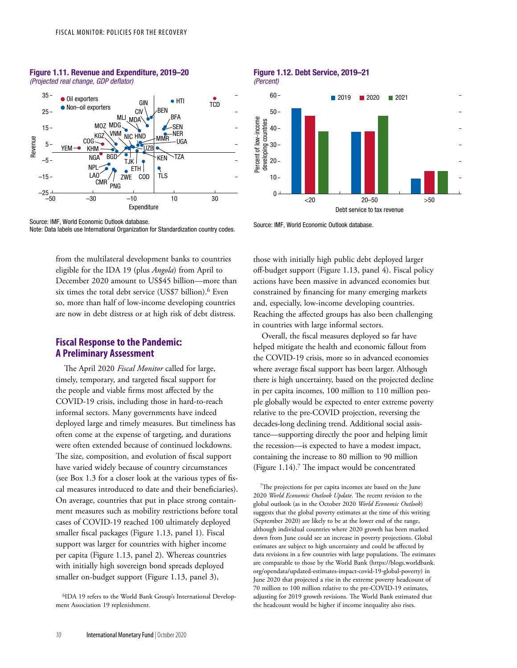

#### Figure 1.11. Revenue and Expenditure, 2019–20 (Projected real change, GDP deflator)



from the multilateral development banks to countries eligible for the IDA 19 (plus *Angola*) from April to December 2020 amount to US\$45 billion—more than six times the total debt service (US\$7 billion).6 Even so, more than half of low-income developing countries are now in debt distress or at high risk of debt distress.

# **Fiscal Response to the Pandemic: A Preliminary Assessment**

The April 2020 *Fiscal Monitor* called for large, timely, temporary, and targeted fiscal support for the people and viable firms most affected by the COVID-19 crisis, including those in hard-to-reach informal sectors. Many governments have indeed deployed large and timely measures. But timeliness has often come at the expense of targeting, and durations were often extended because of continued lockdowns. The size, composition, and evolution of fiscal support have varied widely because of country circumstances (see Box 1.3 for a closer look at the various types of fiscal measures introduced to date and their beneficiaries). On average, countries that put in place strong containment measures such as mobility restrictions before total cases of COVID-19 reached 100 ultimately deployed smaller fiscal packages (Figure 1.13, panel 1). Fiscal support was larger for countries with higher income per capita (Figure 1.13, panel 2). Whereas countries with initially high sovereign bond spreads deployed smaller on-budget support (Figure 1.13, panel 3),

Figure 1.12. Debt Service, 2019–21 (Percent)



those with initially high public debt deployed larger off-budget support (Figure 1.13, panel 4). Fiscal policy actions have been massive in advanced economies but constrained by financing for many emerging markets and, especially, low-income developing countries. Reaching the affected groups has also been challenging in countries with large informal sectors.

Overall, the fiscal measures deployed so far have helped mitigate the health and economic fallout from the COVID-19 crisis, more so in advanced economies where average fiscal support has been larger. Although there is high uncertainty, based on the projected decline in per capita incomes, 100 million to 110 million people globally would be expected to enter extreme poverty relative to the pre-COVID projection, reversing the decades-long declining trend. Additional social assistance—supporting directly the poor and helping limit the recession—is expected to have a modest impact, containing the increase to 80 million to 90 million (Figure 1.14).7 The impact would be concentrated

7The projections for per capita incomes are based on the June 2020 *World Economic Outlook Update*. The recent revision to the global outlook (as in the October 2020 *World Economic Outlook*) suggests that the global poverty estimates at the time of this writing (September 2020) are likely to be at the lower end of the range, although individual countries where 2020 growth has been marked down from June could see an increase in poverty projections. Global estimates are subject to high uncertainty and could be affected by data revisions in a few countries with large populations. The estimates are comparable to those by the World Bank (https://blogs.worldbank. org/opendata/updated-estimates-impact-covid-19-global-poverty) in June 2020 that projected a rise in the extreme poverty headcount of 70 million to 100 million relative to the pre-COVID-19 estimates, adjusting for 2019 growth revisions. The World Bank estimated that the headcount would be higher if income inequality also rises.

<sup>6</sup>IDA 19 refers to the World Bank Group's International Development Association 19 replenishment.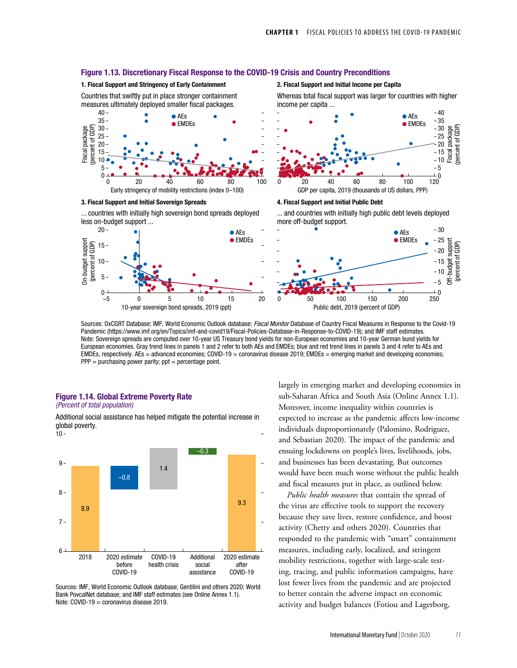

Sources: OxCGRT Database; IMF, World Economic Outlook database; *Fiscal Monitor* Database of Country Fiscal Measures in Response to the Covid-19 Pandemic (https://www.imf.org/en/Topics/imf-and-covid19/Fiscal-Policies-Database-in-Response-to-COVID-19); and IMF staff estimates. Note: Sovereign spreads are computed over 10-year US Treasury bond yields for non-European economies and 10-year German bund yields for European economies. Gray trend lines in panels 1 and 2 refer to both AEs and EMDEs; blue and red trend lines in panels 3 and 4 refer to AEs and EMDEs, respectively. AEs = advanced economies; COVID-19 = coronavirus disease 2019; EMDEs = emerging market and developing economies;  $PPP = purchasing power parity; opt = percentage point.$ 

#### Figure 1.14. Global Extreme Poverty Rate (Percent of total population)

 $10 -$ Additional social assistance has helped mitigate the potential increase in global poverty.



Sources: IMF, World Economic Outlook database; Gentilini and others 2020; World Bank PovcalNet database; and IMF staff estimates (see Online Annex 1.1). Note: COVID-19 = coronavirus disease 2019.

largely in emerging market and developing economies in sub-Saharan Africa and South Asia (Online Annex 1.1). Moreover, income inequality within countries is expected to increase as the pandemic affects low-income individuals disproportionately (Palomino, Rodriguez, and Sebastian 2020). The impact of the pandemic and ensuing lockdowns on people's lives, livelihoods, jobs, and businesses has been devastating. But outcomes would have been much worse without the public health and fiscal measures put in place, as outlined below.

*Public health measures* that contain the spread of the virus are effective tools to support the recovery because they save lives, restore confidence, and boost activity (Chetty and others 2020). Countries that responded to the pandemic with "smart" containment measures, including early, localized, and stringent mobility restrictions, together with large-scale testing, tracing, and public information campaigns, have lost fewer lives from the pandemic and are projected to better contain the adverse impact on economic activity and budget balances (Fotiou and Lagerborg,

# Figure 1.13. Discretionary Fiscal Response to the COVID-19 Crisis and Country Preconditions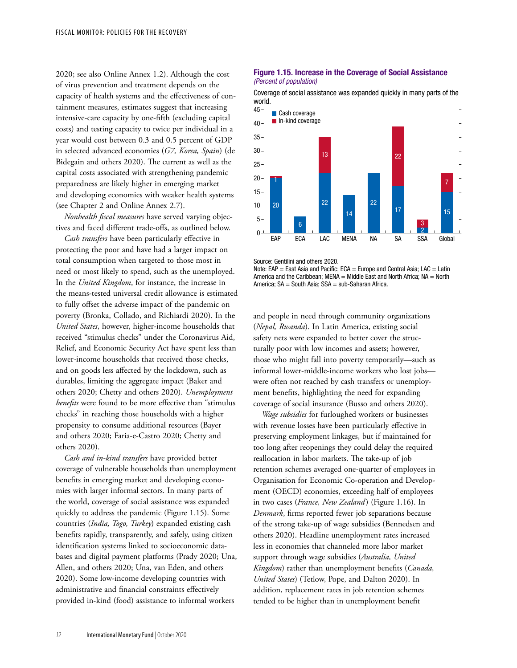2020; see also Online Annex 1.2). Although the cost of virus prevention and treatment depends on the capacity of health systems and the effectiveness of containment measures, estimates suggest that increasing intensive-care capacity by one-fifth (excluding capital costs) and testing capacity to twice per individual in a year would cost between 0.3 and 0.5 percent of GDP in selected advanced economies (*G7, Korea, Spain*) (de Bidegain and others 2020). The current as well as the capital costs associated with strengthening pandemic preparedness are likely higher in emerging market and developing economies with weaker health systems (see Chapter 2 and Online Annex 2.7).

*Nonhealth fiscal measures* have served varying objectives and faced different trade-offs, as outlined below.

*Cash transfers* have been particularly effective in protecting the poor and have had a larger impact on total consumption when targeted to those most in need or most likely to spend, such as the unemployed. In the *United Kingdom*, for instance, the increase in the means-tested universal credit allowance is estimated to fully offset the adverse impact of the pandemic on poverty (Bronka, Collado, and Richiardi 2020). In the *United States*, however, higher-income households that received "stimulus checks" under the Coronavirus Aid, Relief, and Economic Security Act have spent less than lower-income households that received those checks, and on goods less affected by the lockdown, such as durables, limiting the aggregate impact (Baker and others 2020; Chetty and others 2020). *Unemployment benefits* were found to be more effective than "stimulus checks" in reaching those households with a higher propensity to consume additional resources (Bayer and others 2020; Faria-e-Castro 2020; Chetty and others 2020).

*Cash and in-kind transfers* have provided better coverage of vulnerable households than unemployment benefits in emerging market and developing economies with larger informal sectors. In many parts of the world, coverage of social assistance was expanded quickly to address the pandemic (Figure 1.15). Some countries (*India, Togo, Turkey*) expanded existing cash benefits rapidly, transparently, and safely, using citizen identification systems linked to socioeconomic databases and digital payment platforms (Prady 2020; Una, Allen, and others 2020; Una, van Eden, and others 2020). Some low-income developing countries with administrative and financial constraints effectively provided in-kind (food) assistance to informal workers

#### Figure 1.15. Increase in the Coverage of Social Assistance (Percent of population)

Coverage of social assistance was expanded quickly in many parts of the world.



Source: Gentilini and others 2020.

Note: EAP = East Asia and Pacific; ECA = Europe and Central Asia; LAC = Latin America and the Caribbean; MENA = Middle East and North Africa;  $NA = North$ America; SA = South Asia; SSA = sub-Saharan Africa.

and people in need through community organizations (*Nepal, Rwanda*). In Latin America, existing social safety nets were expanded to better cover the structurally poor with low incomes and assets; however, those who might fall into poverty temporarily—such as informal lower-middle-income workers who lost jobs were often not reached by cash transfers or unemployment benefits, highlighting the need for expanding coverage of social insurance (Busso and others 2020).

*Wage subsidies* for furloughed workers or businesses with revenue losses have been particularly effective in preserving employment linkages, but if maintained for too long after reopenings they could delay the required reallocation in labor markets. The take-up of job retention schemes averaged one-quarter of employees in Organisation for Economic Co-operation and Development (OECD) economies, exceeding half of employees in two cases (*France, New Zealand*) (Figure 1.16). In *Denmark*, firms reported fewer job separations because of the strong take-up of wage subsidies (Bennedsen and others 2020). Headline unemployment rates increased less in economies that channeled more labor market support through wage subsidies (*Australia, United Kingdom*) rather than unemployment benefits (*Canada, United States*) (Tetlow, Pope, and Dalton 2020). In addition, replacement rates in job retention schemes tended to be higher than in unemployment benefit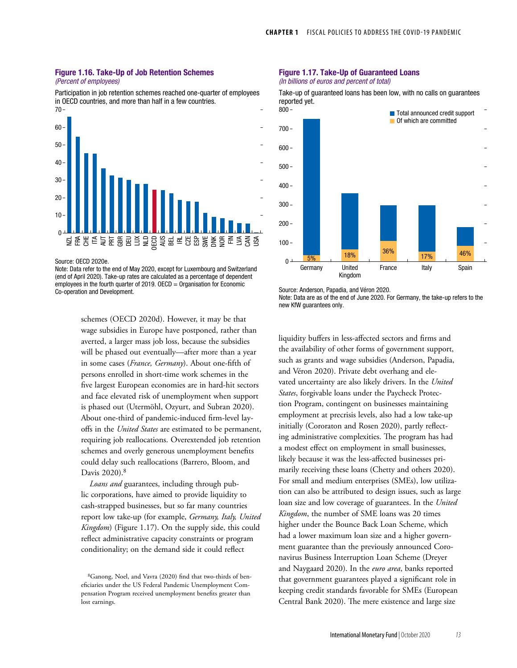#### Figure 1.16. Take-Up of Job Retention Schemes (Percent of employees)

Participation in job retention schemes reached one-quarter of employees in OECD countries, and more than half in a few countries.



Source: OECD 2020e.

Note: Data refer to the end of May 2020, except for Luxembourg and Switzerland (end of April 2020). Take-up rates are calculated as a percentage of dependent employees in the fourth quarter of 2019.  $OECD =$  Organisation for Economic Co-operation and Development.

> schemes (OECD 2020d). However, it may be that wage subsidies in Europe have postponed, rather than averted, a larger mass job loss, because the subsidies will be phased out eventually—after more than a year in some cases (*France, Germany*). About one-fifth of persons enrolled in short-time work schemes in the five largest European economies are in hard-hit sectors and face elevated risk of unemployment when support is phased out (Utermöhl, Ozyurt, and Subran 2020). About one-third of pandemic-induced firm-level layoffs in the *United States* are estimated to be permanent, requiring job reallocations. Overextended job retention schemes and overly generous unemployment benefits could delay such reallocations (Barrero, Bloom, and Davis 2020).8

> *Loans and* guarantees, including through public corporations, have aimed to provide liquidity to cash-strapped businesses, but so far many countries report low take-up (for example, *Germany, Italy, United Kingdom*) (Figure 1.17). On the supply side, this could reflect administrative capacity constraints or program conditionality; on the demand side it could reflect

# Figure 1.17. Take-Up of Guaranteed Loans

*(In billions of euros and percent of total)*



Take-up of guaranteed loans has been low, with no calls on guarantees reported yet.

Source: Anderson, Papadia, and Véron 2020.

Note: Data are as of the end of June 2020. For Germany, the take-up refers to the new KfW guarantees only.

liquidity buffers in less-affected sectors and firms and the availability of other forms of government support, such as grants and wage subsidies (Anderson, Papadia, and Véron 2020). Private debt overhang and elevated uncertainty are also likely drivers. In the *United States*, forgivable loans under the Paycheck Protection Program, contingent on businesses maintaining employment at precrisis levels, also had a low take-up initially (Cororaton and Rosen 2020), partly reflecting administrative complexities. The program has had a modest effect on employment in small businesses, likely because it was the less-affected businesses primarily receiving these loans (Chetty and others 2020). For small and medium enterprises (SMEs), low utilization can also be attributed to design issues, such as large loan size and low coverage of guarantees. In the *United Kingdom*, the number of SME loans was 20 times higher under the Bounce Back Loan Scheme, which had a lower maximum loan size and a higher government guarantee than the previously announced Coronavirus Business Interruption Loan Scheme (Dreyer and Naygaard 2020). In the *euro area*, banks reported that government guarantees played a significant role in keeping credit standards favorable for SMEs (European Central Bank 2020). The mere existence and large size

<sup>8</sup>Ganong, Noel, and Vavra (2020) find that two-thirds of beneficiaries under the US Federal Pandemic Unemployment Compensation Program received unemployment benefits greater than lost earnings.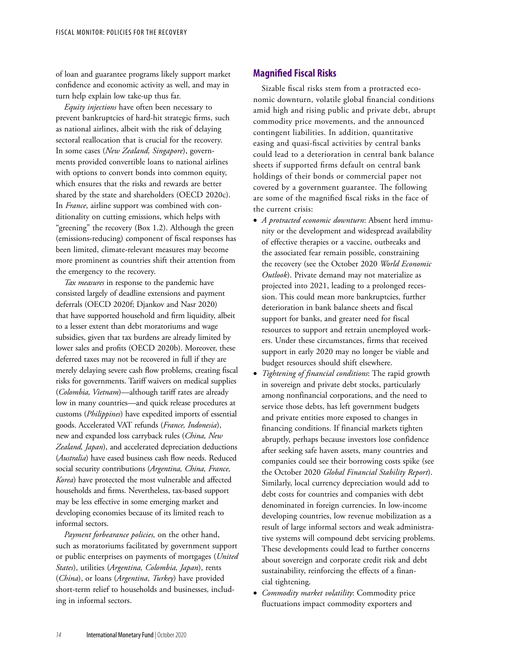of loan and guarantee programs likely support market confidence and economic activity as well, and may in turn help explain low take-up thus far.

*Equity injections* have often been necessary to prevent bankruptcies of hard-hit strategic firms, such as national airlines, albeit with the risk of delaying sectoral reallocation that is crucial for the recovery. In some cases (*New Zealand, Singapore*), governments provided convertible loans to national airlines with options to convert bonds into common equity, which ensures that the risks and rewards are better shared by the state and shareholders (OECD 2020c). In *France*, airline support was combined with conditionality on cutting emissions, which helps with "greening" the recovery (Box 1.2). Although the green (emissions-reducing) component of fiscal responses has been limited, climate-relevant measures may become more prominent as countries shift their attention from the emergency to the recovery.

*Tax measures* in response to the pandemic have consisted largely of deadline extensions and payment deferrals (OECD 2020f; Djankov and Nasr 2020) that have supported household and firm liquidity, albeit to a lesser extent than debt moratoriums and wage subsidies, given that tax burdens are already limited by lower sales and profits (OECD 2020b). Moreover, these deferred taxes may not be recovered in full if they are merely delaying severe cash flow problems, creating fiscal risks for governments. Tariff waivers on medical supplies (*Colombia, Vietnam*)—although tariff rates are already low in many countries—and quick release procedures at customs (*Philippines*) have expedited imports of essential goods. Accelerated VAT refunds (*France, Indonesia*), new and expanded loss carryback rules (*China, New Zealand, Japan*), and accelerated depreciation deductions (*Australia*) have eased business cash flow needs. Reduced social security contributions (*Argentina, China, France, Korea*) have protected the most vulnerable and affected households and firms. Nevertheless, tax-based support may be less effective in some emerging market and developing economies because of its limited reach to informal sectors.

*Payment forbearance policies,* on the other hand, such as moratoriums facilitated by government support or public enterprises on payments of mortgages (*United States*), utilities (*Argentina, Colombia, Japan*), rents (*China*), or loans (*Argentina*, *Turkey*) have provided short-term relief to households and businesses, including in informal sectors.

# **Magnified Fiscal Risks**

Sizable fiscal risks stem from a protracted economic downturn, volatile global financial conditions amid high and rising public and private debt, abrupt commodity price movements, and the announced contingent liabilities. In addition, quantitative easing and quasi-fiscal activities by central banks could lead to a deterioration in central bank balance sheets if supported firms default on central bank holdings of their bonds or commercial paper not covered by a government guarantee. The following are some of the magnified fiscal risks in the face of the current crisis:

- *A protracted economic downturn*: Absent herd immunity or the development and widespread availability of effective therapies or a vaccine, outbreaks and the associated fear remain possible, constraining the recovery (see the October 2020 *World Economic Outlook*). Private demand may not materialize as projected into 2021, leading to a prolonged recession. This could mean more bankruptcies, further deterioration in bank balance sheets and fiscal support for banks, and greater need for fiscal resources to support and retrain unemployed workers. Under these circumstances, firms that received support in early 2020 may no longer be viable and budget resources should shift elsewhere.
- *Tightening of financial conditions*: The rapid growth in sovereign and private debt stocks, particularly among nonfinancial corporations, and the need to service those debts, has left government budgets and private entities more exposed to changes in financing conditions. If financial markets tighten abruptly, perhaps because investors lose confidence after seeking safe haven assets, many countries and companies could see their borrowing costs spike (see the October 2020 *Global Financial Stability Report*). Similarly, local currency depreciation would add to debt costs for countries and companies with debt denominated in foreign currencies. In low-income developing countries, low revenue mobilization as a result of large informal sectors and weak administrative systems will compound debt servicing problems. These developments could lead to further concerns about sovereign and corporate credit risk and debt sustainability, reinforcing the effects of a financial tightening.
- *Commodity market volatility*: Commodity price fluctuations impact commodity exporters and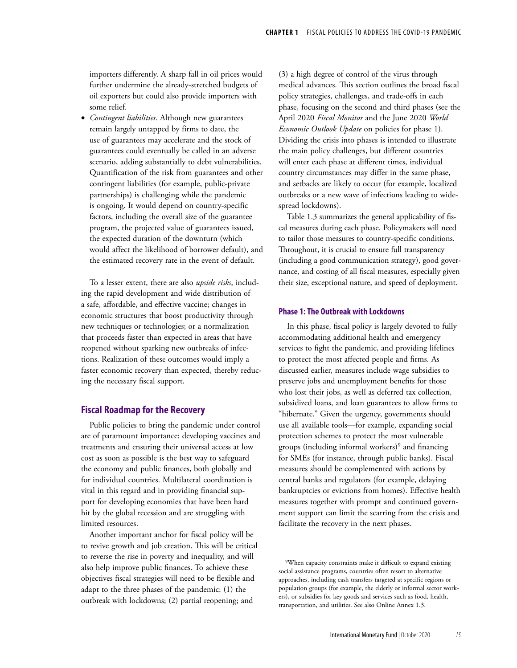importers differently. A sharp fall in oil prices would further undermine the already-stretched budgets of oil exporters but could also provide importers with some relief.

• *Contingent liabilities*. Although new guarantees remain largely untapped by firms to date, the use of guarantees may accelerate and the stock of guarantees could eventually be called in an adverse scenario, adding substantially to debt vulnerabilities. Quantification of the risk from guarantees and other contingent liabilities (for example, public-private partnerships) is challenging while the pandemic is ongoing. It would depend on country-specific factors, including the overall size of the guarantee program, the projected value of guarantees issued, the expected duration of the downturn (which would affect the likelihood of borrower default), and the estimated recovery rate in the event of default.

To a lesser extent, there are also *upside risks*, including the rapid development and wide distribution of a safe, affordable, and effective vaccine; changes in economic structures that boost productivity through new techniques or technologies; or a normalization that proceeds faster than expected in areas that have reopened without sparking new outbreaks of infections. Realization of these outcomes would imply a faster economic recovery than expected, thereby reducing the necessary fiscal support.

## **Fiscal Roadmap for the Recovery**

Public policies to bring the pandemic under control are of paramount importance: developing vaccines and treatments and ensuring their universal access at low cost as soon as possible is the best way to safeguard the economy and public finances, both globally and for individual countries. Multilateral coordination is vital in this regard and in providing financial support for developing economies that have been hard hit by the global recession and are struggling with limited resources.

Another important anchor for fiscal policy will be to revive growth and job creation. This will be critical to reverse the rise in poverty and inequality, and will also help improve public finances. To achieve these objectives fiscal strategies will need to be flexible and adapt to the three phases of the pandemic: (1) the outbreak with lockdowns; (2) partial reopening; and

(3) a high degree of control of the virus through medical advances. This section outlines the broad fiscal policy strategies, challenges, and trade-offs in each phase, focusing on the second and third phases (see the April 2020 *Fiscal Monitor* and the June 2020 *World Economic Outlook Update* on policies for phase 1). Dividing the crisis into phases is intended to illustrate the main policy challenges, but different countries will enter each phase at different times, individual country circumstances may differ in the same phase, and setbacks are likely to occur (for example, localized outbreaks or a new wave of infections leading to widespread lockdowns).

Table 1.3 summarizes the general applicability of fiscal measures during each phase. Policymakers will need to tailor those measures to country-specific conditions. Throughout, it is crucial to ensure full transparency (including a good communication strategy), good governance, and costing of all fiscal measures, especially given their size, exceptional nature, and speed of deployment.

### **Phase 1: The Outbreak with Lockdowns**

In this phase, fiscal policy is largely devoted to fully accommodating additional health and emergency services to fight the pandemic, and providing lifelines to protect the most affected people and firms. As discussed earlier, measures include wage subsidies to preserve jobs and unemployment benefits for those who lost their jobs, as well as deferred tax collection, subsidized loans, and loan guarantees to allow firms to "hibernate." Given the urgency, governments should use all available tools—for example, expanding social protection schemes to protect the most vulnerable groups (including informal workers)<sup>9</sup> and financing for SMEs (for instance, through public banks). Fiscal measures should be complemented with actions by central banks and regulators (for example, delaying bankruptcies or evictions from homes). Effective health measures together with prompt and continued government support can limit the scarring from the crisis and facilitate the recovery in the next phases.

<sup>9</sup>When capacity constraints make it difficult to expand existing social assistance programs, countries often resort to alternative approaches, including cash transfers targeted at specific regions or population groups (for example, the elderly or informal sector workers), or subsidies for key goods and services such as food, health, transportation, and utilities. See also Online Annex 1.3.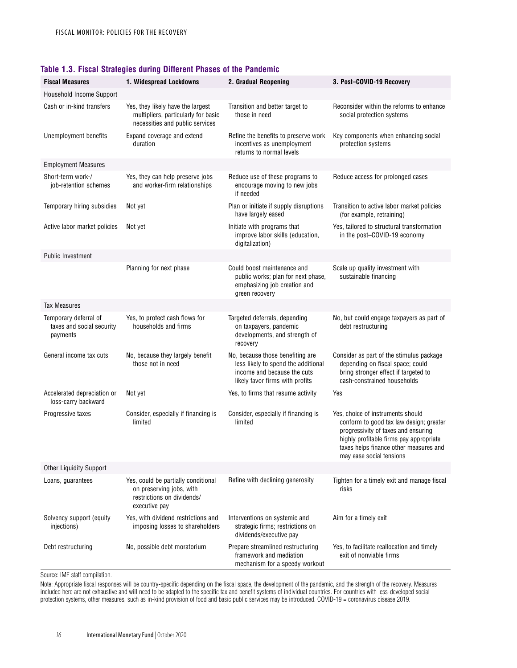| <b>Fiscal Measures</b>                                         | 1. Widespread Lockdowns                                                                                        | 2. Gradual Reopening                                                                                                                      | 3. Post-COVID-19 Recovery                                                                                                                                                                                                            |  |  |  |  |
|----------------------------------------------------------------|----------------------------------------------------------------------------------------------------------------|-------------------------------------------------------------------------------------------------------------------------------------------|--------------------------------------------------------------------------------------------------------------------------------------------------------------------------------------------------------------------------------------|--|--|--|--|
| Household Income Support                                       |                                                                                                                |                                                                                                                                           |                                                                                                                                                                                                                                      |  |  |  |  |
| Cash or in-kind transfers                                      | Yes, they likely have the largest<br>multipliers, particularly for basic<br>necessities and public services    | Transition and better target to<br>those in need                                                                                          | Reconsider within the reforms to enhance<br>social protection systems                                                                                                                                                                |  |  |  |  |
| Unemployment benefits                                          | Expand coverage and extend<br>duration                                                                         | Refine the benefits to preserve work<br>incentives as unemployment<br>returns to normal levels                                            | Key components when enhancing social<br>protection systems                                                                                                                                                                           |  |  |  |  |
| <b>Employment Measures</b>                                     |                                                                                                                |                                                                                                                                           |                                                                                                                                                                                                                                      |  |  |  |  |
| Short-term work-/<br>job-retention schemes                     | Yes, they can help preserve jobs<br>and worker-firm relationships                                              | Reduce use of these programs to<br>encourage moving to new jobs<br>if needed                                                              | Reduce access for prolonged cases                                                                                                                                                                                                    |  |  |  |  |
| Temporary hiring subsidies                                     | Not yet                                                                                                        | Plan or initiate if supply disruptions<br>have largely eased                                                                              | Transition to active labor market policies<br>(for example, retraining)                                                                                                                                                              |  |  |  |  |
| Active labor market policies                                   | Not yet                                                                                                        | Initiate with programs that<br>improve labor skills (education,<br>digitalization)                                                        | Yes, tailored to structural transformation<br>in the post-COVID-19 economy                                                                                                                                                           |  |  |  |  |
| <b>Public Investment</b>                                       |                                                                                                                |                                                                                                                                           |                                                                                                                                                                                                                                      |  |  |  |  |
|                                                                | Planning for next phase                                                                                        | Could boost maintenance and<br>public works; plan for next phase,<br>emphasizing job creation and<br>green recovery                       | Scale up quality investment with<br>sustainable financing                                                                                                                                                                            |  |  |  |  |
| <b>Tax Measures</b>                                            |                                                                                                                |                                                                                                                                           |                                                                                                                                                                                                                                      |  |  |  |  |
| Temporary deferral of<br>taxes and social security<br>payments | Yes, to protect cash flows for<br>households and firms                                                         | Targeted deferrals, depending<br>on taxpayers, pandemic<br>developments, and strength of<br>recovery                                      | No, but could engage taxpayers as part of<br>debt restructuring                                                                                                                                                                      |  |  |  |  |
| General income tax cuts                                        | No, because they largely benefit<br>those not in need                                                          | No, because those benefiting are<br>less likely to spend the additional<br>income and because the cuts<br>likely favor firms with profits | Consider as part of the stimulus package<br>depending on fiscal space; could<br>bring stronger effect if targeted to<br>cash-constrained households                                                                                  |  |  |  |  |
| Accelerated depreciation or<br>loss-carry backward             | Not yet                                                                                                        | Yes, to firms that resume activity                                                                                                        | Yes                                                                                                                                                                                                                                  |  |  |  |  |
| Progressive taxes                                              | Consider, especially if financing is<br>limited                                                                | Consider, especially if financing is<br>limited                                                                                           | Yes, choice of instruments should<br>conform to good tax law design; greater<br>progressivity of taxes and ensuring<br>highly profitable firms pay appropriate<br>taxes helps finance other measures and<br>may ease social tensions |  |  |  |  |
| <b>Other Liquidity Support</b>                                 |                                                                                                                |                                                                                                                                           |                                                                                                                                                                                                                                      |  |  |  |  |
| Loans, quarantees                                              | Yes, could be partially conditional<br>on preserving jobs, with<br>restrictions on dividends/<br>executive pay | Refine with declining generosity                                                                                                          | Tighten for a timely exit and manage fiscal<br>risks                                                                                                                                                                                 |  |  |  |  |
| Solvency support (equity<br>injections)                        | Yes, with dividend restrictions and<br>imposing losses to shareholders                                         | Interventions on systemic and<br>strategic firms; restrictions on<br>dividends/executive pay                                              | Aim for a timely exit                                                                                                                                                                                                                |  |  |  |  |
| Debt restructuring                                             | No, possible debt moratorium                                                                                   | Prepare streamlined restructuring<br>framework and mediation<br>mechanism for a speedy workout                                            | Yes, to facilitate reallocation and timely<br>exit of nonviable firms                                                                                                                                                                |  |  |  |  |

## **Table 1.3. Fiscal Strategies during Different Phases of the Pandemic**

Source: IMF staff compilation.

Note: Appropriate fiscal responses will be country-specific depending on the fiscal space, the development of the pandemic, and the strength of the recovery. Measures included here are not exhaustive and will need to be adapted to the specific tax and benefit systems of individual countries. For countries with less-developed social protection systems, other measures, such as in-kind provision of food and basic public services may be introduced. COVID-19 = coronavirus disease 2019.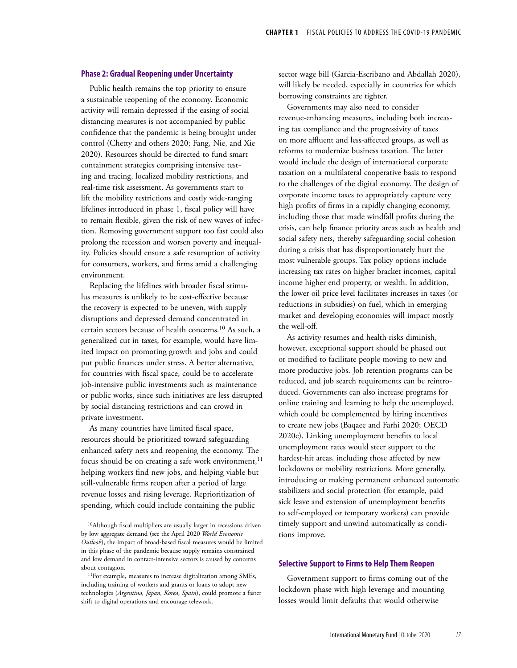### **Phase 2: Gradual Reopening under Uncertainty**

Public health remains the top priority to ensure a sustainable reopening of the economy. Economic activity will remain depressed if the easing of social distancing measures is not accompanied by public confidence that the pandemic is being brought under control (Chetty and others 2020; Fang, Nie, and Xie 2020). Resources should be directed to fund smart containment strategies comprising intensive testing and tracing, localized mobility restrictions, and real-time risk assessment. As governments start to lift the mobility restrictions and costly wide-ranging lifelines introduced in phase 1, fiscal policy will have to remain flexible, given the risk of new waves of infection. Removing government support too fast could also prolong the recession and worsen poverty and inequality. Policies should ensure a safe resumption of activity for consumers, workers, and firms amid a challenging environment.

Replacing the lifelines with broader fiscal stimulus measures is unlikely to be cost-effective because the recovery is expected to be uneven, with supply disruptions and depressed demand concentrated in certain sectors because of health concerns.10 As such, a generalized cut in taxes, for example, would have limited impact on promoting growth and jobs and could put public finances under stress. A better alternative, for countries with fiscal space, could be to accelerate job-intensive public investments such as maintenance or public works, since such initiatives are less disrupted by social distancing restrictions and can crowd in private investment.

As many countries have limited fiscal space, resources should be prioritized toward safeguarding enhanced safety nets and reopening the economy. The focus should be on creating a safe work environment, $11$ helping workers find new jobs, and helping viable but still-vulnerable firms reopen after a period of large revenue losses and rising leverage. Reprioritization of spending, which could include containing the public

sector wage bill (Garcia-Escribano and Abdallah 2020), will likely be needed, especially in countries for which borrowing constraints are tighter.

Governments may also need to consider revenue-enhancing measures, including both increasing tax compliance and the progressivity of taxes on more affluent and less-affected groups, as well as reforms to modernize business taxation. The latter would include the design of international corporate taxation on a multilateral cooperative basis to respond to the challenges of the digital economy. The design of corporate income taxes to appropriately capture very high profits of firms in a rapidly changing economy, including those that made windfall profits during the crisis, can help finance priority areas such as health and social safety nets, thereby safeguarding social cohesion during a crisis that has disproportionately hurt the most vulnerable groups. Tax policy options include increasing tax rates on higher bracket incomes, capital income higher end property, or wealth. In addition, the lower oil price level facilitates increases in taxes (or reductions in subsidies) on fuel, which in emerging market and developing economies will impact mostly the well-off.

As activity resumes and health risks diminish, however, exceptional support should be phased out or modified to facilitate people moving to new and more productive jobs. Job retention programs can be reduced, and job search requirements can be reintroduced. Governments can also increase programs for online training and learning to help the unemployed, which could be complemented by hiring incentives to create new jobs (Baqaee and Farhi 2020; OECD 2020e). Linking unemployment benefits to local unemployment rates would steer support to the hardest-hit areas, including those affected by new lockdowns or mobility restrictions. More generally, introducing or making permanent enhanced automatic stabilizers and social protection (for example, paid sick leave and extension of unemployment benefits to self-employed or temporary workers) can provide timely support and unwind automatically as conditions improve.

#### **Selective Support to Firms to Help Them Reopen**

Government support to firms coming out of the lockdown phase with high leverage and mounting losses would limit defaults that would otherwise

<sup>10</sup>Although fiscal multipliers are usually larger in recessions driven by low aggregate demand (see the April 2020 *World Economic Outlook*), the impact of broad-based fiscal measures would be limited in this phase of the pandemic because supply remains constrained and low demand in contact-intensive sectors is caused by concerns about contagion.

<sup>11</sup>For example, measures to increase digitalization among SMEs, including training of workers and grants or loans to adopt new technologies (*Argentina, Japan, Korea, Spain*), could promote a faster shift to digital operations and encourage telework.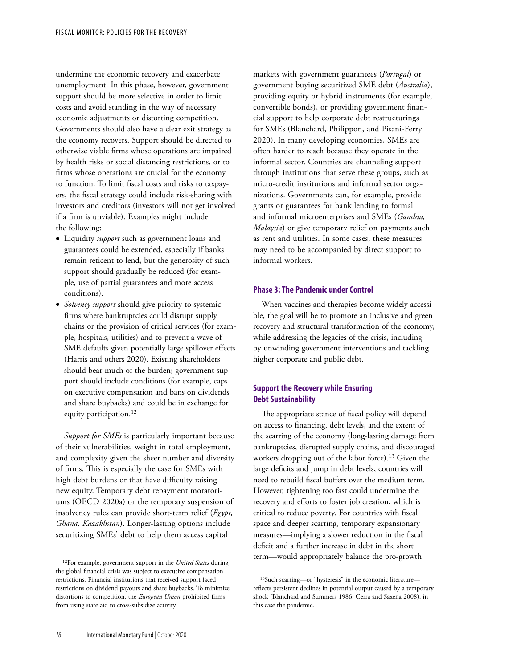undermine the economic recovery and exacerbate unemployment. In this phase, however, government support should be more selective in order to limit costs and avoid standing in the way of necessary economic adjustments or distorting competition. Governments should also have a clear exit strategy as the economy recovers. Support should be directed to otherwise viable firms whose operations are impaired by health risks or social distancing restrictions, or to firms whose operations are crucial for the economy to function. To limit fiscal costs and risks to taxpayers, the fiscal strategy could include risk-sharing with investors and creditors (investors will not get involved if a firm is unviable). Examples might include the following:

- Liquidity *support* such as government loans and guarantees could be extended, especially if banks remain reticent to lend, but the generosity of such support should gradually be reduced (for example, use of partial guarantees and more access conditions).
- *Solvency support* should give priority to systemic firms where bankruptcies could disrupt supply chains or the provision of critical services (for example, hospitals, utilities) and to prevent a wave of SME defaults given potentially large spillover effects (Harris and others 2020). Existing shareholders should bear much of the burden; government support should include conditions (for example, caps on executive compensation and bans on dividends and share buybacks) and could be in exchange for equity participation.<sup>12</sup>

*Support for SMEs* is particularly important because of their vulnerabilities, weight in total employment, and complexity given the sheer number and diversity of firms. This is especially the case for SMEs with high debt burdens or that have difficulty raising new equity. Temporary debt repayment moratoriums (OECD 2020a) or the temporary suspension of insolvency rules can provide short-term relief (*Egypt, Ghana, Kazakhstan*). Longer-lasting options include securitizing SMEs' debt to help them access capital

markets with government guarantees (*Portugal*) or government buying securitized SME debt (*Australia*), providing equity or hybrid instruments (for example, convertible bonds), or providing government financial support to help corporate debt restructurings for SMEs (Blanchard, Philippon, and Pisani-Ferry 2020). In many developing economies, SMEs are often harder to reach because they operate in the informal sector. Countries are channeling support through institutions that serve these groups, such as micro-credit institutions and informal sector organizations. Governments can, for example, provide grants or guarantees for bank lending to formal and informal microenterprises and SMEs (*Gambia, Malaysia*) or give temporary relief on payments such as rent and utilities. In some cases, these measures may need to be accompanied by direct support to informal workers.

#### **Phase 3: The Pandemic under Control**

When vaccines and therapies become widely accessible, the goal will be to promote an inclusive and green recovery and structural transformation of the economy, while addressing the legacies of the crisis, including by unwinding government interventions and tackling higher corporate and public debt.

# **Support the Recovery while Ensuring Debt Sustainability**

The appropriate stance of fiscal policy will depend on access to financing, debt levels, and the extent of the scarring of the economy (long-lasting damage from bankruptcies, disrupted supply chains, and discouraged workers dropping out of the labor force).<sup>13</sup> Given the large deficits and jump in debt levels, countries will need to rebuild fiscal buffers over the medium term. However, tightening too fast could undermine the recovery and efforts to foster job creation, which is critical to reduce poverty. For countries with fiscal space and deeper scarring, temporary expansionary measures—implying a slower reduction in the fiscal deficit and a further increase in debt in the short term—would appropriately balance the pro-growth

<sup>12</sup>For example, government support in the *United States* during the global financial crisis was subject to executive compensation restrictions. Financial institutions that received support faced restrictions on dividend payouts and share buybacks. To minimize distortions to competition, the *European Union* prohibited firms from using state aid to cross-subsidize activity.

<sup>13</sup>Such scarring—or "hysteresis" in the economic literature reflects persistent declines in potential output caused by a temporary shock (Blanchard and Summers 1986; Cerra and Saxena 2008), in this case the pandemic.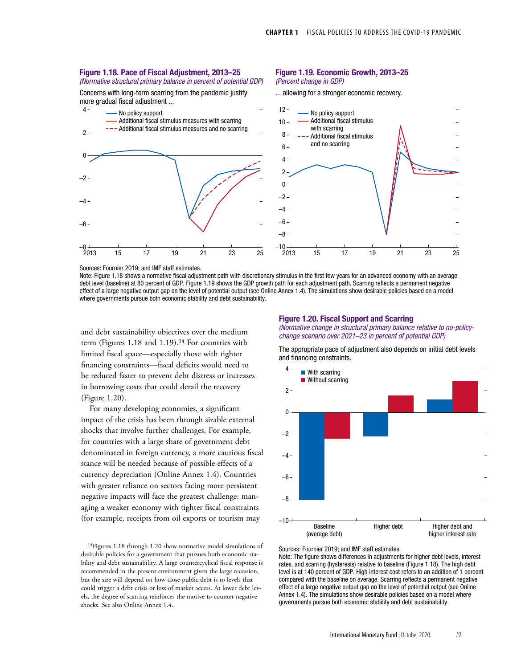#### Figure 1.18. Pace of Fiscal Adjustment, 2013–25

(Normative structural primary balance in percent of potential GDP) Concerns with long-term scarring from the pandemic justify

## Figure 1.19. Economic Growth, 2013–25

(Percent change in GDP) ... allowing for a stronger economic recovery.



Sources: Fournier 2019; and IMF staff estimates.

Note: Figure 1.18 shows a normative fiscal adjustment path with discretionary stimulus in the first few years for an advanced economy with an average debt level (baseline) at 80 percent of GDP. Figure 1.19 shows the GDP growth path for each adjustment path. Scarring reflects a permanent negative effect of a large negative output gap on the level of potential output (see Online Annex 1.4). The simulations show desirable policies based on a model where governments pursue both economic stability and debt sustainability.

and debt sustainability objectives over the medium term (Figures 1.18 and 1.19).<sup>14</sup> For countries with limited fiscal space—especially those with tighter financing constraints—fiscal deficits would need to be reduced faster to prevent debt distress or increases in borrowing costs that could derail the recovery (Figure 1.20).

For many developing economies, a significant impact of the crisis has been through sizable external shocks that involve further challenges. For example, for countries with a large share of government debt denominated in foreign currency, a more cautious fiscal stance will be needed because of possible effects of a currency depreciation (Online Annex 1.4). Countries with greater reliance on sectors facing more persistent negative impacts will face the greatest challenge: managing a weaker economy with tighter fiscal constraints (for example, receipts from oil exports or tourism may

<sup>14</sup>Figures 1.18 through 1.20 show normative model simulations of desirable policies for a government that pursues both economic stability and debt sustainability. A large countercyclical fiscal response is recommended in the present environment given the large recession, but the size will depend on how close public debt is to levels that could trigger a debt crisis or loss of market access. At lower debt levels, the degree of scarring reinforces the motive to counter negative shocks. See also Online Annex 1.4.

#### Figure 1.20. Fiscal Support and Scarring

(Normative change in structural primary balance relative to no-policychange scenario over 2021–23 in percent of potential GDP)



The appropriate pace of adjustment also depends on initial debt levels and financing constraints.

rates, and scarring (hysteresis) relative to baseline (Figure 1.18). The high debt level is at 140 percent of GDP. High interest cost refers to an addition of 1 percent compared with the baseline on average. Scarring reflects a permanent negative effect of a large negative output gap on the level of potential output (see Online Annex 1.4). The simulations show desirable policies based on a model where governments pursue both economic stability and debt sustainability.

Note: The figure shows differences in adjustments for higher debt levels, interest

Sources: Fournier 2019; and IMF staff estimates.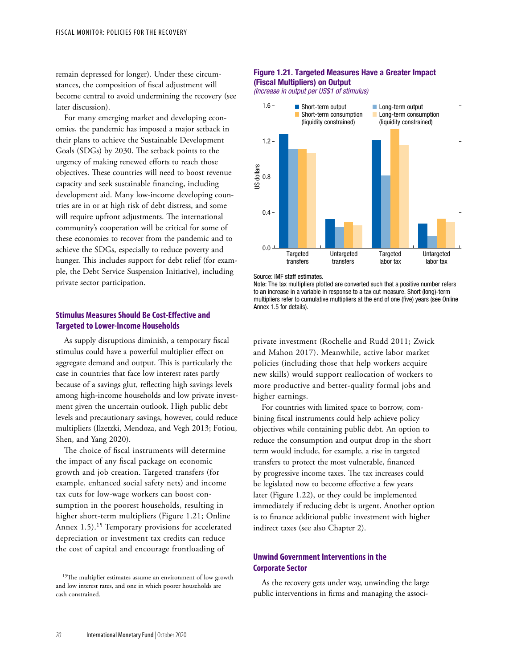remain depressed for longer). Under these circumstances, the composition of fiscal adjustment will become central to avoid undermining the recovery (see later discussion).

For many emerging market and developing economies, the pandemic has imposed a major setback in their plans to achieve the Sustainable Development Goals (SDGs) by 2030. The setback points to the urgency of making renewed efforts to reach those objectives. These countries will need to boost revenue capacity and seek sustainable financing, including development aid. Many low-income developing countries are in or at high risk of debt distress, and some will require upfront adjustments. The international community's cooperation will be critical for some of these economies to recover from the pandemic and to achieve the SDGs, especially to reduce poverty and hunger. This includes support for debt relief (for example, the Debt Service Suspension Initiative), including private sector participation.

## **Stimulus Measures Should Be Cost-Effective and Targeted to Lower-Income Households**

As supply disruptions diminish, a temporary fiscal stimulus could have a powerful multiplier effect on aggregate demand and output. This is particularly the case in countries that face low interest rates partly because of a savings glut, reflecting high savings levels among high-income households and low private investment given the uncertain outlook. High public debt levels and precautionary savings, however, could reduce multipliers (Ilzetzki, Mendoza, and Vegh 2013; Fotiou, Shen, and Yang 2020).

The choice of fiscal instruments will determine the impact of any fiscal package on economic growth and job creation. Targeted transfers (for example, enhanced social safety nets) and income tax cuts for low-wage workers can boost consumption in the poorest households, resulting in higher short-term multipliers (Figure 1.21; Online Annex 1.5).<sup>15</sup> Temporary provisions for accelerated depreciation or investment tax credits can reduce the cost of capital and encourage frontloading of

### Figure 1.21. Targeted Measures Have a Greater Impact (Fiscal Multipliers) on Output

*(Increase in output per US\$1 of stimulus)*



Source: IMF staff estimates.

Note: The tax multipliers plotted are converted such that a positive number refers to an increase in a variable in response to a tax cut measure. Short (long)-term multipliers refer to cumulative multipliers at the end of one (five) years (see Online Annex 1.5 for details).

private investment (Rochelle and Rudd 2011; Zwick and Mahon 2017). Meanwhile, active labor market policies (including those that help workers acquire new skills) would support reallocation of workers to more productive and better-quality formal jobs and higher earnings.

For countries with limited space to borrow, combining fiscal instruments could help achieve policy objectives while containing public debt. An option to reduce the consumption and output drop in the short term would include, for example, a rise in targeted transfers to protect the most vulnerable, financed by progressive income taxes. The tax increases could be legislated now to become effective a few years later (Figure 1.22), or they could be implemented immediately if reducing debt is urgent. Another option is to finance additional public investment with higher indirect taxes (see also Chapter 2).

# **Unwind Government Interventions in the Corporate Sector**

As the recovery gets under way, unwinding the large public interventions in firms and managing the associ-

<sup>&</sup>lt;sup>15</sup>The multiplier estimates assume an environment of low growth and low interest rates, and one in which poorer households are cash constrained.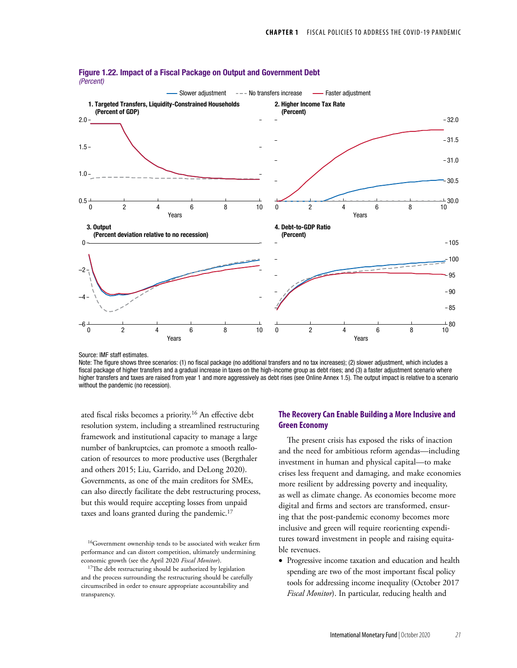

Figure 1.22. Impact of a Fiscal Package on Output and Government Debt (Percent)

Source: IMF staff estimates.

Note: The figure shows three scenarios: (1) no fiscal package (no additional transfers and no tax increases); (2) slower adjustment, which includes a fiscal package of higher transfers and a gradual increase in taxes on the high-income group as debt rises; and (3) a faster adjustment scenario where higher transfers and taxes are raised from year 1 and more aggressively as debt rises (see Online Annex 1.5). The output impact is relative to a scenario without the pandemic (no recession).

ated fiscal risks becomes a priority.16 An effective debt resolution system, including a streamlined restructuring framework and institutional capacity to manage a large number of bankruptcies, can promote a smooth reallocation of resources to more productive uses (Bergthaler and others 2015; Liu, Garrido, and DeLong 2020). Governments, as one of the main creditors for SMEs, can also directly facilitate the debt restructuring process, but this would require accepting losses from unpaid taxes and loans granted during the pandemic.<sup>17</sup>

## **The Recovery Can Enable Building a More Inclusive and Green Economy**

The present crisis has exposed the risks of inaction and the need for ambitious reform agendas—including investment in human and physical capital—to make crises less frequent and damaging, and make economies more resilient by addressing poverty and inequality, as well as climate change. As economies become more digital and firms and sectors are transformed, ensuring that the post-pandemic economy becomes more inclusive and green will require reorienting expenditures toward investment in people and raising equitable revenues.

• Progressive income taxation and education and health spending are two of the most important fiscal policy tools for addressing income inequality (October 2017 *Fiscal Monitor*). In particular, reducing health and

<sup>16</sup>Government ownership tends to be associated with weaker firm performance and can distort competition, ultimately undermining economic growth (see the April 2020 *Fiscal Monitor*).

<sup>&</sup>lt;sup>17</sup>The debt restructuring should be authorized by legislation and the process surrounding the restructuring should be carefully circumscribed in order to ensure appropriate accountability and transparency.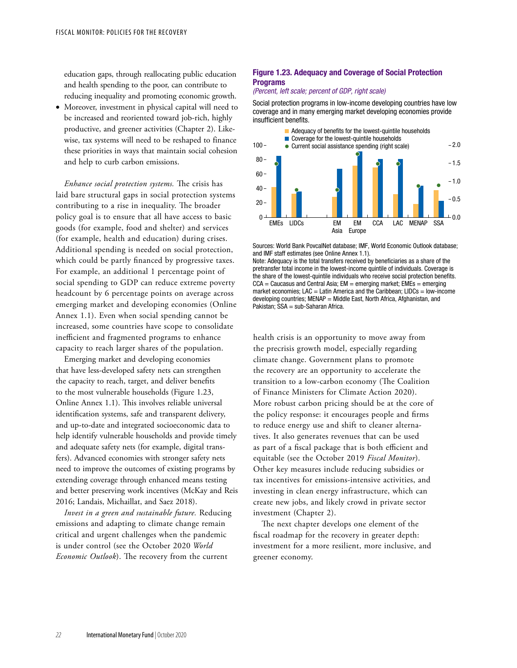education gaps, through reallocating public education and health spending to the poor, can contribute to reducing inequality and promoting economic growth.

• Moreover, investment in physical capital will need to be increased and reoriented toward job-rich, highly productive, and greener activities (Chapter 2). Likewise, tax systems will need to be reshaped to finance these priorities in ways that maintain social cohesion and help to curb carbon emissions.

*Enhance social protection systems.* The crisis has laid bare structural gaps in social protection systems contributing to a rise in inequality. The broader policy goal is to ensure that all have access to basic goods (for example, food and shelter) and services (for example, health and education) during crises. Additional spending is needed on social protection, which could be partly financed by progressive taxes. For example, an additional 1 percentage point of social spending to GDP can reduce extreme poverty headcount by 6 percentage points on average across emerging market and developing economies (Online Annex 1.1). Even when social spending cannot be increased, some countries have scope to consolidate inefficient and fragmented programs to enhance capacity to reach larger shares of the population.

Emerging market and developing economies that have less-developed safety nets can strengthen the capacity to reach, target, and deliver benefits to the most vulnerable households (Figure 1.23, Online Annex 1.1). This involves reliable universal identification systems, safe and transparent delivery, and up-to-date and integrated socioeconomic data to help identify vulnerable households and provide timely and adequate safety nets (for example, digital transfers). Advanced economies with stronger safety nets need to improve the outcomes of existing programs by extending coverage through enhanced means testing and better preserving work incentives (McKay and Reis 2016; Landais, Michaillat, and Saez 2018).

*Invest in a green and sustainable future.* Reducing emissions and adapting to climate change remain critical and urgent challenges when the pandemic is under control (see the October 2020 *World Economic Outlook*). The recovery from the current

## Figure 1.23. Adequacy and Coverage of Social Protection **Programs**

### (Percent, left scale; percent of GDP, right scale)

Social protection programs in low-income developing countries have low coverage and in many emerging market developing economies provide insufficient benefits.



Sources: World Bank PovcalNet database; IMF, World Economic Outlook database; and IMF staff estimates (see Online Annex 1.1).

Note: Adequacy is the total transfers received by beneficiaries as a share of the pretransfer total income in the lowest-income quintile of individuals. Coverage is the share of the lowest-quintile individuals who receive social protection benefits. CCA = Caucasus and Central Asia; EM = emerging market; EMEs = emerging market economies; LAC = Latin America and the Caribbean; LIDCs = low-income developing countries; MENAP = Middle East, North Africa, Afghanistan, and Pakistan; SSA = sub-Saharan Africa.

health crisis is an opportunity to move away from the precrisis growth model, especially regarding climate change. Government plans to promote the recovery are an opportunity to accelerate the transition to a low-carbon economy (The Coalition of Finance Ministers for Climate Action 2020). More robust carbon pricing should be at the core of the policy response: it encourages people and firms to reduce energy use and shift to cleaner alternatives. It also generates revenues that can be used as part of a fiscal package that is both efficient and equitable (see the October 2019 *Fiscal Monitor*). Other key measures include reducing subsidies or tax incentives for emissions-intensive activities, and investing in clean energy infrastructure, which can create new jobs, and likely crowd in private sector investment (Chapter 2).

The next chapter develops one element of the fiscal roadmap for the recovery in greater depth: investment for a more resilient, more inclusive, and greener economy.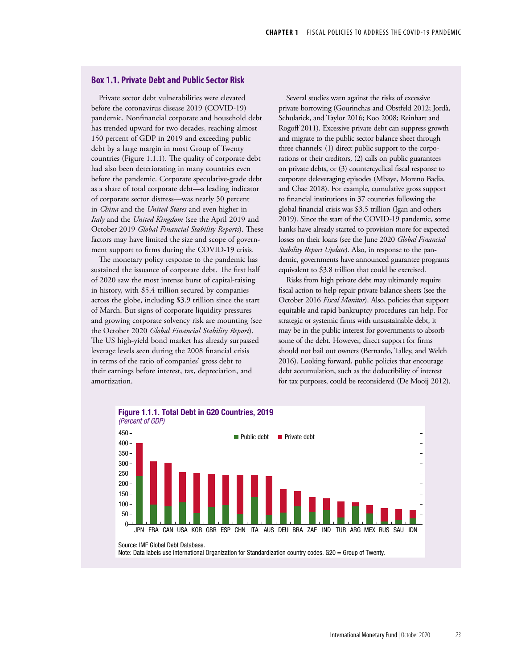### **Box 1.1. Private Debt and Public Sector Risk**

Private sector debt vulnerabilities were elevated before the coronavirus disease 2019 (COVID-19) pandemic. Nonfinancial corporate and household debt has trended upward for two decades, reaching almost 150 percent of GDP in 2019 and exceeding public debt by a large margin in most Group of Twenty countries (Figure 1.1.1). The quality of corporate debt had also been deteriorating in many countries even before the pandemic. Corporate speculative-grade debt as a share of total corporate debt—a leading indicator of corporate sector distress—was nearly 50 percent in *China* and the *United States* and even higher in *Italy* and the *United Kingdom* (see the April 2019 and October 2019 *Global Financial Stability Reports*). These factors may have limited the size and scope of government support to firms during the COVID-19 crisis.

The monetary policy response to the pandemic has sustained the issuance of corporate debt. The first half of 2020 saw the most intense burst of capital-raising in history, with \$5.4 trillion secured by companies across the globe, including \$3.9 trillion since the start of March. But signs of corporate liquidity pressures and growing corporate solvency risk are mounting (see the October 2020 *Global Financial Stability Report*). The US high-yield bond market has already surpassed leverage levels seen during the 2008 financial crisis in terms of the ratio of companies' gross debt to their earnings before interest, tax, depreciation, and amortization.

Several studies warn against the risks of excessive private borrowing (Gourinchas and Obstfeld 2012; Jordà, Schularick, and Taylor 2016; Koo 2008; Reinhart and Rogoff 2011). Excessive private debt can suppress growth and migrate to the public sector balance sheet through three channels: (1) direct public support to the corporations or their creditors, (2) calls on public guarantees on private debts, or (3) countercyclical fiscal response to corporate deleveraging episodes (Mbaye, Moreno Badia, and Chae 2018). For example, cumulative gross support to financial institutions in 37 countries following the global financial crisis was \$3.5 trillion (Igan and others 2019). Since the start of the COVID-19 pandemic, some banks have already started to provision more for expected losses on their loans (see the June 2020 *Global Financial Stability Report Update*). Also, in response to the pandemic, governments have announced guarantee programs equivalent to \$3.8 trillion that could be exercised.

Risks from high private debt may ultimately require fiscal action to help repair private balance sheets (see the October 2016 *Fiscal Monitor*). Also, policies that support equitable and rapid bankruptcy procedures can help. For strategic or systemic firms with unsustainable debt, it may be in the public interest for governments to absorb some of the debt. However, direct support for firms should not bail out owners (Bernardo, Talley, and Welch 2016). Looking forward, public policies that encourage debt accumulation, such as the deductibility of interest for tax purposes, could be reconsidered (De Mooij 2012).

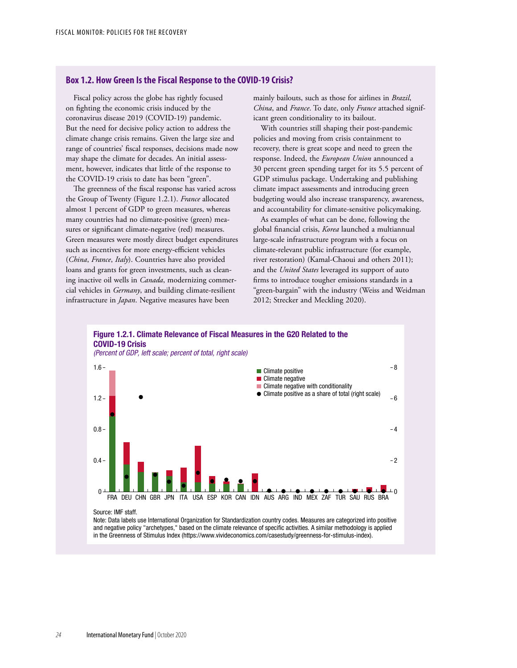### **Box 1.2. How Green Is the Fiscal Response to the COVID-19 Crisis?**

Fiscal policy across the globe has rightly focused on fighting the economic crisis induced by the coronavirus disease 2019 (COVID-19) pandemic. But the need for decisive policy action to address the climate change crisis remains. Given the large size and range of countries' fiscal responses, decisions made now may shape the climate for decades. An initial assessment, however, indicates that little of the response to the COVID-19 crisis to date has been "green".

The greenness of the fiscal response has varied across the Group of Twenty (Figure 1.2.1). *France* allocated almost 1 percent of GDP to green measures, whereas many countries had no climate-positive (green) measures or significant climate-negative (red) measures. Green measures were mostly direct budget expenditures such as incentives for more energy-efficient vehicles (*China*, *France*, *Italy*). Countries have also provided loans and grants for green investments, such as cleaning inactive oil wells in *Canada*, modernizing commercial vehicles in *Germany*, and building climate-resilient infrastructure in *Japan*. Negative measures have been

mainly bailouts, such as those for airlines in *Brazil*, *China*, and *France*. To date, only *France* attached significant green conditionality to its bailout.

With countries still shaping their post-pandemic policies and moving from crisis containment to recovery, there is great scope and need to green the response. Indeed, the *European Union* announced a 30 percent green spending target for its 5.5 percent of GDP stimulus package. Undertaking and publishing climate impact assessments and introducing green budgeting would also increase transparency, awareness, and accountability for climate-sensitive policymaking.

As examples of what can be done, following the global financial crisis, *Korea* launched a multiannual large-scale infrastructure program with a focus on climate-relevant public infrastructure (for example, river restoration) (Kamal-Chaoui and others 2011); and the *United States* leveraged its support of auto firms to introduce tougher emissions standards in a "green-bargain" with the industry (Weiss and Weidman 2012; Strecker and Meckling 2020).



Note: Data labels use International Organization for Standardization country codes. Measures are categorized into positive and negative policy "archetypes," based on the climate relevance of specific activities. A similar methodology is applied in the Greenness of Stimulus Index (https://www.vivideconomics.com/casestudy/greenness-for-stimulus-index).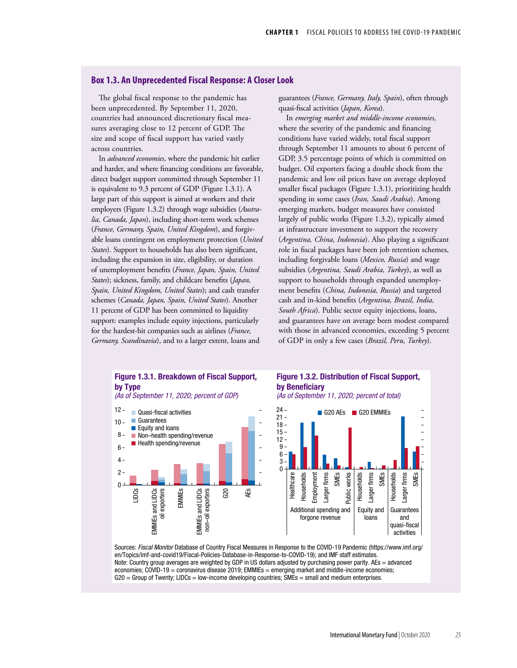## **Box 1.3. An Unprecedented Fiscal Response: A Closer Look**

The global fiscal response to the pandemic has been unprecedented. By September 11, 2020, countries had announced discretionary fiscal measures averaging close to 12 percent of GDP. The size and scope of fiscal support has varied vastly across countries.

In *advanced economies*, where the pandemic hit earlier and harder, and where financing conditions are favorable, direct budget support committed through September 11 is equivalent to 9.3 percent of GDP (Figure 1.3.1). A large part of this support is aimed at workers and their employers (Figure 1.3.2) through wage subsidies (*Australia, Canada, Japan*), including short-term work schemes (*France, Germany, Spain, United Kingdom*), and forgivable loans contingent on employment protection (*United States*). Support to households has also been significant, including the expansion in size, eligibility, or duration of unemployment benefits (*France, Japan, Spain, United States*); sickness, family, and childcare benefits (*Japan, Spain, United Kingdom, United States*); and cash transfer schemes (*Canada, Japan, Spain, United States*). Another 11 percent of GDP has been committed to liquidity support: examples include equity injections, particularly for the hardest-hit companies such as airlines (*France, Germany, Scandinavia*), and to a larger extent, loans and

guarantees (*France, Germany, Italy, Spain*), often through quasi-fiscal activities (*Japan, Korea*).

In *emerging market and middle-income economies*, where the severity of the pandemic and financing conditions have varied widely, total fiscal support through September 11 amounts to about 6 percent of GDP, 3.5 percentage points of which is committed on budget. Oil exporters facing a double shock from the pandemic and low oil prices have on average deployed smaller fiscal packages (Figure 1.3.1), prioritizing health spending in some cases (*Iran, Saudi Arabia*). Among emerging markets, budget measures have consisted largely of public works (Figure 1.3.2), typically aimed at infrastructure investment to support the recovery (*Argentina, China, Indonesia*). Also playing a significant role in fiscal packages have been job retention schemes, including forgivable loans (*Mexico, Russia*) and wage subsidies (*Argentina, Saudi Arabia, Turkey*), as well as support to households through expanded unemployment benefits (*China, Indonesia, Russia*) and targeted cash and in-kind benefits (*Argentina, Brazil, India, South Africa*). Public sector equity injections, loans, and guarantees have on average been modest compared with those in advanced economies, exceeding 5 percent of GDP in only a few cases (*Brazil, Peru, Turkey*).



Sources: *Fiscal Monitor* Database of Country Fiscal Measures in Response to the COVID-19 Pandemic (https://www.imf.org/ en/Topics/imf-and-covid19/Fiscal-Policies-Database-in-Response-to-COVID-19); and IMF staff estimates. Note: Country group averages are weighted by GDP in US dollars adjusted by purchasing power parity. AEs = advanced economies; COVID-19 = coronavirus disease 2019; EMMIEs = emerging market and middle-income economies; G20 = Group of Twenty; LIDCs = low-income developing countries; SMEs = small and medium enterprises.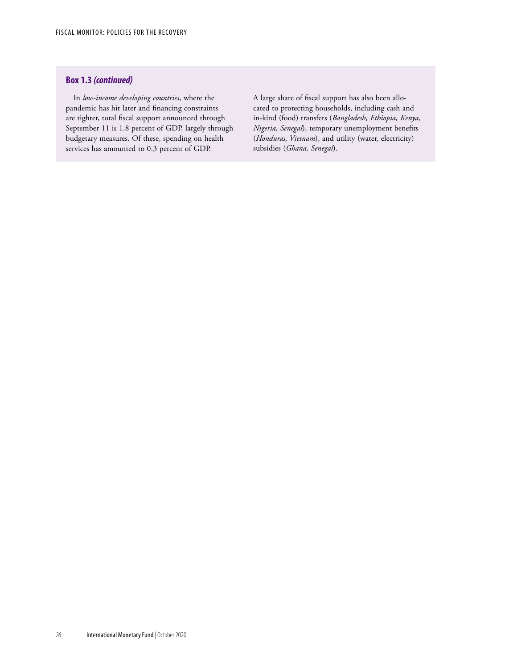## **Box 1.3** *(continued)*

In *low-income developing countries*, where the pandemic has hit later and financing constraints are tighter, total fiscal support announced through September 11 is 1.8 percent of GDP, largely through budgetary measures. Of these, spending on health services has amounted to 0.3 percent of GDP.

A large share of fiscal support has also been allocated to protecting households, including cash and in-kind (food) transfers (*Bangladesh, Ethiopia, Kenya, Nigeria, Senegal*), temporary unemployment benefits (*Honduras, Vietnam*), and utility (water, electricity) subsidies (*Ghana, Senegal*).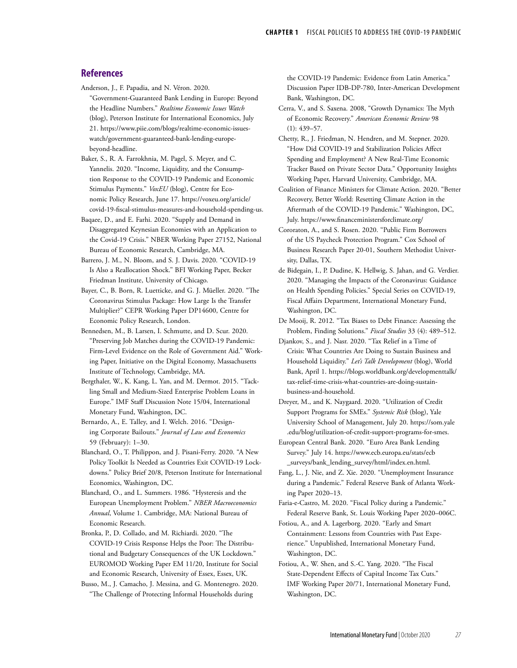### **References**

Anderson, J., F. Papadia, and N. Véron. 2020.

"Government-Guaranteed Bank Lending in Europe: Beyond the Headline Numbers." *Realtime Economic Issues Watch* (blog), Peterson Institute for International Economics, July 21. https://www.piie.com/blogs/realtime-economic-issueswatch/government-guaranteed-bank-lending-europebeyond-headline.

Baker, S., R. A. Farrokhnia, M. Pagel, S. Meyer, and C. Yannelis. 2020. "Income, Liquidity, and the Consumption Response to the COVID-19 Pandemic and Economic Stimulus Payments." *VoxEU* (blog), Centre for Economic Policy Research, June 17. https://voxeu.org/article/ covid-19-fiscal-stimulus-measures-and-household-spending-us.

Baqaee, D., and E. Farhi. 2020. "Supply and Demand in Disaggregated Keynesian Economies with an Application to the Covid-19 Crisis." NBER Working Paper 27152, National Bureau of Economic Research, Cambridge, MA.

Barrero, J. M., N. Bloom, and S. J. Davis. 2020. "COVID-19 Is Also a Reallocation Shock." BFI Working Paper, Becker Friedman Institute, University of Chicago.

Bayer, C., B. Born, R. Luetticke, and G. J. Müeller. 2020. "The Coronavirus Stimulus Package: How Large Is the Transfer Multiplier?" CEPR Working Paper DP14600, Centre for Economic Policy Research, London.

Bennedsen, M., B. Larsen, I. Schmutte, and D. Scur. 2020. "Preserving Job Matches during the COVID-19 Pandemic: Firm-Level Evidence on the Role of Government Aid." Working Paper, Initiative on the Digital Economy, Massachusetts Institute of Technology, Cambridge, MA.

Bergthaler, W., K. Kang, L. Yan, and M. Dermot. 2015. "Tackling Small and Medium-Sized Enterprise Problem Loans in Europe." IMF Staff Discussion Note 15/04, International Monetary Fund, Washington, DC.

Bernardo, A., E. Talley, and I. Welch. 2016. "Designing Corporate Bailouts." *Journal of Law and Economics* 59 (February): 1–30.

Blanchard, O., T. Philippon, and J. Pisani-Ferry. 2020. "A New Policy Toolkit Is Needed as Countries Exit COVID-19 Lockdowns." Policy Brief 20/8, Peterson Institute for International Economics, Washington, DC.

Blanchard, O., and L. Summers. 1986. "Hysteresis and the European Unemployment Problem." *NBER Macroeconomics Annual*, Volume 1. Cambridge, MA: National Bureau of Economic Research.

Bronka, P., D. Collado, and M. Richiardi. 2020. "The COVID-19 Crisis Response Helps the Poor: The Distributional and Budgetary Consequences of the UK Lockdown." EUROMOD Working Paper EM 11/20, Institute for Social and Economic Research, University of Essex, Essex, UK.

Busso, M., J. Camacho, J. Messina, and G. Montenegro. 2020. "The Challenge of Protecting Informal Households during

the COVID-19 Pandemic: Evidence from Latin America." Discussion Paper IDB-DP-780, Inter-American Development Bank, Washington, DC.

Cerra, V., and S. Saxena. 2008, "Growth Dynamics: The Myth of Economic Recovery." *American Economic Review* 98 (1): 439–57.

Chetty, R., J. Friedman, N. Hendren, and M. Stepner. 2020. "How Did COVID-19 and Stabilization Policies Affect Spending and Employment? A New Real-Time Economic Tracker Based on Private Sector Data." Opportunity Insights Working Paper, Harvard University, Cambridge, MA.

Coalition of Finance Ministers for Climate Action. 2020. "Better Recovery, Better World: Resetting Climate Action in the Aftermath of the COVID-19 Pandemic." Washington, DC, July. <https://www.financeministersforclimate.org/>

- Cororaton, A., and S. Rosen. 2020. "Public Firm Borrowers of the US Paycheck Protection Program." Cox School of Business Research Paper 20-01, Southern Methodist University, Dallas, TX.
- de Bidegain, I., P. Dudine, K. Hellwig, S. Jahan, and G. Verdier. 2020. "Managing the Impacts of the Coronavirus: Guidance on Health Spending Policies." Special Series on COVID-19, Fiscal Affairs Department, International Monetary Fund, Washington, DC.

De Mooij, R. 2012. "Tax Biases to Debt Finance: Assessing the Problem, Finding Solutions." *Fiscal Studies* 33 (4): 489–512.

Djankov, S., and J. Nasr. 2020. "Tax Relief in a Time of Crisis: What Countries Are Doing to Sustain Business and Household Liquidity." *Let's Talk Development* (blog), World Bank, April 1. https://blogs.worldbank.org/developmenttalk/ tax-relief-time-crisis-what-countries-are-doing-sustainbusiness-and-household.

Dreyer, M., and K. Naygaard. 2020. "Utilization of Credit Support Programs for SMEs." *Systemic Risk* (blog), Yale University School of Management, July 20. https://som.yale .edu/blog/utilization-of-credit-support-programs-for-smes.

European Central Bank. 2020. "Euro Area Bank Lending Survey." July 14. https://www.ecb.europa.eu/stats/ecb \_surveys/bank\_lending\_survey/html/index.en.html.

Fang, L., J. Nie, and Z. Xie. 2020. "Unemployment Insurance during a Pandemic." Federal Reserve Bank of Atlanta Working Paper 2020–13.

Faria-e-Castro, M. 2020. "Fiscal Policy during a Pandemic." Federal Reserve Bank, St. Louis Working Paper 2020–006C.

Fotiou, A., and A. Lagerborg. 2020. "Early and Smart Containment: Lessons from Countries with Past Experience." Unpublished, International Monetary Fund, Washington, DC.

Fotiou, A., W. Shen, and S.-C. Yang. 2020. "The Fiscal State-Dependent Effects of Capital Income Tax Cuts." IMF Working Paper 20/71, International Monetary Fund, Washington, DC.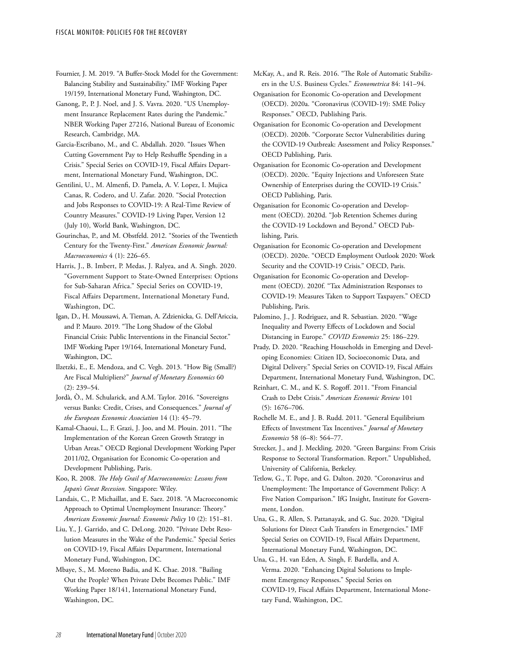Fournier, J. M. 2019. "A Buffer-Stock Model for the Government: Balancing Stability and Sustainability." IMF Working Paper 19/159, International Monetary Fund, Washington, DC.

Ganong, P., P. J. Noel, and J. S. Vavra. 2020. "US Unemployment Insurance Replacement Rates during the Pandemic." NBER Working Paper 27216, National Bureau of Economic Research, Cambridge, MA.

Garcia-Escribano, M., and C. Abdallah. 2020. "Issues When Cutting Government Pay to Help Reshuffle Spending in a Crisis." Special Series on COVID-19, Fiscal Affairs Department, International Monetary Fund, Washington, DC.

Gentilini, U., M. Almenfi, D. Pamela, A. V. Lopez, I. Mujica Canas, R. Codero, and U. Zafar. 2020. "Social Protection and Jobs Responses to COVID-19: A Real-Time Review of Country Measures." COVID-19 Living Paper, Version 12 (July 10), World Bank, Washington, DC.

Gourinchas, P., and M. Obstfeld. 2012. "Stories of the Twentieth Century for the Twenty-First." *American Economic Journal: Macroeconomics* 4 (1): 226–65.

Harris, J., B. Imbert, P. Medas, J. Ralyea, and A. Singh. 2020. "Government Support to State-Owned Enterprises: Options for Sub-Saharan Africa." Special Series on COVID-19, Fiscal Affairs Department, International Monetary Fund, Washington, DC.

Igan, D., H. Moussawi, A. Tieman, A. Zdzienicka, G. Dell'Ariccia, and P. Mauro. 2019. "The Long Shadow of the Global Financial Crisis: Public Interventions in the Financial Sector." IMF Working Paper 19/164, International Monetary Fund, Washington, DC.

Ilzetzki, E., E. Mendoza, and C. Vegh. 2013. "How Big (Small?) Are Fiscal Multipliers?" *Journal of Monetary Economics* 60 (2): 239–54.

Jordà, Ò., M. Schularick, and A.M. Taylor. 2016. "Sovereigns versus Banks: Credit, Crises, and Consequences." *Journal of the European Economic Association* 14 (1): 45–79.

Kamal-Chaoui, L., F. Grazi, J. Joo, and M. Plouin. 2011. "The Implementation of the Korean Green Growth Strategy in Urban Areas." OECD Regional Development Working Paper 2011/02, Organisation for Economic Co-operation and Development Publishing, Paris.

Koo, R. 2008. *The Holy Grail of Macroeconomics: Lessons from Japan's Great Recession.* Singapore: Wiley.

Landais, C., P. Michaillat, and E. Saez. 2018. "A Macroeconomic Approach to Optimal Unemployment Insurance: Theory." *American Economic Journal: Economic Policy* 10 (2): 151–81.

Liu, Y., J. Garrido, and C. DeLong. 2020. "Private Debt Resolution Measures in the Wake of the Pandemic." Special Series on COVID-19, Fiscal Affairs Department, International Monetary Fund, Washington, DC.

Mbaye, S., M. Moreno Badia, and K. Chae. 2018. "Bailing Out the People? When Private Debt Becomes Public." IMF Working Paper 18/141, International Monetary Fund, Washington, DC.

McKay, A., and R. Reis. 2016. "The Role of Automatic Stabilizers in the U.S. Business Cycles." *Econometrica* 84: 141–94.

Organisation for Economic Co-operation and Development (OECD). 2020a. "Coronavirus (COVID-19): SME Policy Responses." OECD, Publishing Paris.

Organisation for Economic Co-operation and Development (OECD). 2020b. "Corporate Sector Vulnerabilities during the COVID-19 Outbreak: Assessment and Policy Responses." OECD Publishing, Paris.

Organisation for Economic Co-operation and Development (OECD). 2020c. "Equity Injections and Unforeseen State Ownership of Enterprises during the COVID-19 Crisis." OECD Publishing, Paris.

Organisation for Economic Co-operation and Development (OECD). 2020d. "Job Retention Schemes during the COVID-19 Lockdown and Beyond." OECD Publishing, Paris.

Organisation for Economic Co-operation and Development (OECD). 2020e. "OECD Employment Outlook 2020: Work Security and the COVID-19 Crisis." OECD, Paris.

Organisation for Economic Co-operation and Development (OECD). 2020f. "Tax Administration Responses to COVID-19: Measures Taken to Support Taxpayers." OECD Publishing, Paris.

Palomino, J., J. Rodriguez, and R. Sebastian. 2020. "Wage Inequality and Poverty Effects of Lockdown and Social Distancing in Europe." *COVID Economics* 25: 186–229.

Prady, D. 2020. "Reaching Households in Emerging and Developing Economies: Citizen ID, Socioeconomic Data, and Digital Delivery." Special Series on COVID-19, Fiscal Affairs Department, International Monetary Fund, Washington, DC.

Reinhart, C. M., and K. S. Rogoff. 2011. "From Financial Crash to Debt Crisis." *American Economic Review* 101 (5): 1676–706.

Rochelle M. E., and J. B. Rudd. 2011. "General Equilibrium Effects of Investment Tax Incentives." *Journal of Monetary Economics* 58 (6–8): 564–77.

Strecker, J., and J. Meckling. 2020. "Green Bargains: From Crisis Response to Sectoral Transformation. Report." Unpublished, University of California, Berkeley.

Tetlow, G., T. Pope, and G. Dalton. 2020. "Coronavirus and Unemployment: The Importance of Government Policy: A Five Nation Comparison." IfG Insight, Institute for Government, London.

Una, G., R. Allen, S. Pattanayak, and G. Suc. 2020. "Digital Solutions for Direct Cash Transfers in Emergencies." IMF Special Series on COVID-19, Fiscal Affairs Department, International Monetary Fund, Washington, DC.

Una, G., H. van Eden, A. Singh, F. Bardella, and A. Verma. 2020. "Enhancing Digital Solutions to Implement Emergency Responses." Special Series on COVID-19, Fiscal Affairs Department, International Monetary Fund, Washington, DC.